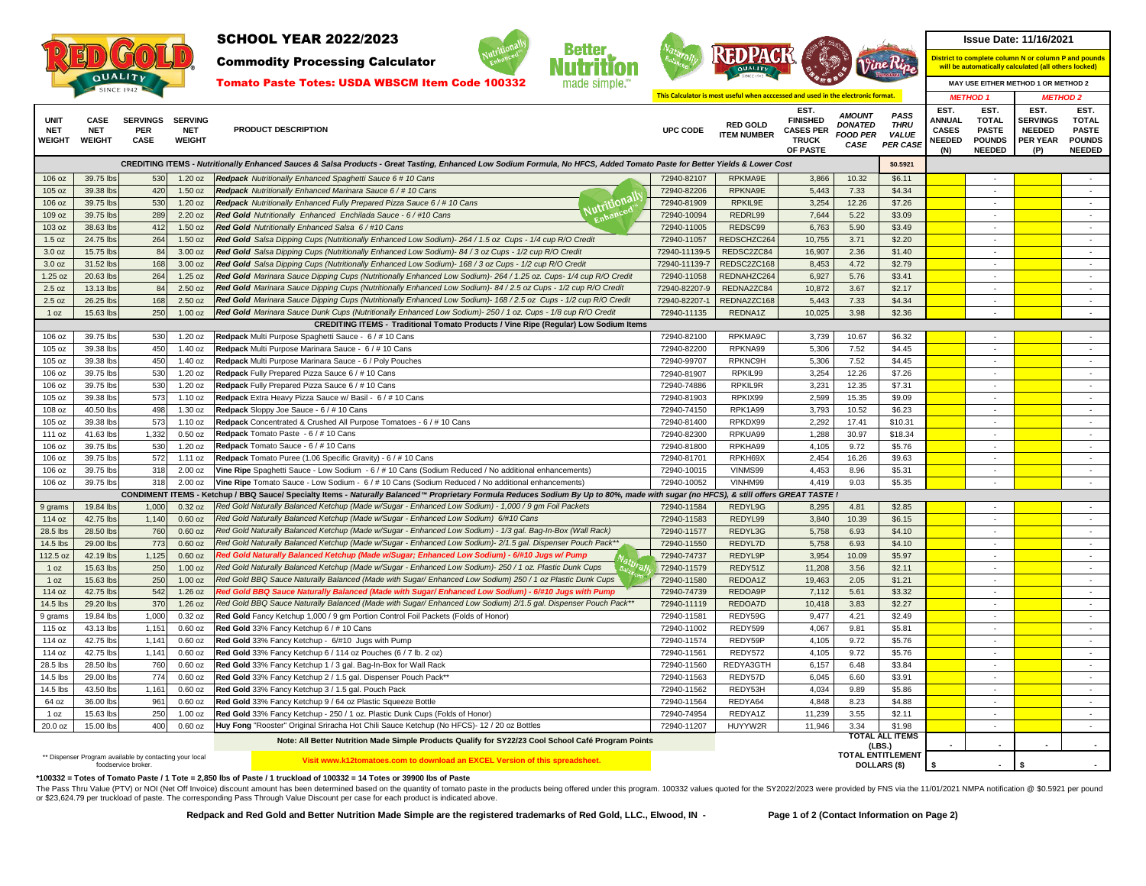

Commodity Processing Calculator







**This Calculator is most useful when acccessed and used in the electronic format.**

**District to complete column N or column P and pounds will be automatically calculated (all others locked)**

*METHOD 1 METHOD 2*

| <b>ITEM NUMBER</b><br><b>FOOD PER</b><br><b>VALUE</b><br><b>NEEDED</b><br><b>PER YEAR</b><br><b>POUNDS</b><br><b>WEIGHT</b><br><b>WEIGHT</b><br><b>CASE</b><br><b>WEIGHT</b><br><b>TRUCK</b><br><b>POUNDS</b><br>CASE PER CASE<br><b>NEEDED</b><br>OF PASTE<br>(N)<br><b>NEEDED</b><br>(P)<br>CREDITING ITEMS - Nutritionally Enhanced Sauces & Salsa Products - Great Tasting, Enhanced Low Sodium Formula, No HFCS, Added Tomato Paste for Better Yields & Lower Cost<br>\$0.5921<br>106 oz<br>39.75 lbs<br>Redpack Nutritionally Enhanced Spaghetti Sauce 6 # 10 Cans<br>72940-82107<br>RPKMA9E<br>3.866<br>10.32<br>\$6.11<br>530<br>$1.20$ oz<br>5,443<br>105 oz<br>39.38 lbs<br>420<br>1.50 oz<br>Redpack Nutritionally Enhanced Marinara Sauce 6 / # 10 Cans<br>72940-82206<br>RPKNA9E<br>7.33<br>\$4.34<br>$\sim$<br>$\sim$<br>utritional<br>530<br>3,254<br>106 oz<br>1.20 oz<br>Redpack Nutritionally Enhanced Fully Prepared Pizza Sauce 6/#10 Cans<br>72940-81909<br>RPKIL9E<br>12.26<br>\$7.26<br>39.75 lbs<br>$\sim$<br>$\sim$<br>Enhanced<br>109 oz<br>39.75 lbs<br>289<br>2.20 oz<br>Red Gold Nutritionally Enhanced Enchilada Sauce - 6 / #10 Cans<br>72940-10094<br>REDRL99<br>7,644<br>5.22<br>\$3.09<br>$\sim$<br>$\sim$<br>412<br>1.50 oz<br>Red Gold Nutritionally Enhanced Salsa 6/#10 Cans<br>REDSC99<br>6.763<br>5.90<br>\$3.49<br>103 oz<br>38.63 lbs<br>72940-11005<br>$\sim$<br>1.5 oz<br>24.75 lbs<br>264<br>1.50 oz<br>Red Gold Salsa Dipping Cups (Nutritionally Enhanced Low Sodium)- 264 / 1.5 oz Cups - 1/4 cup R/O Credit<br>72940-11057<br>REDSCHZC264<br>10,755<br>3.71<br>\$2.20<br>$\sim$<br>÷.<br>15.75 lbs<br>3.00 oz<br>REDSC2ZC84<br>16,907<br>2.36<br>3.0 oz<br>84<br>Red Gold Salsa Dipping Cups (Nutritionally Enhanced Low Sodium)- 84 / 3 oz Cups - 1/2 cup R/O Credit<br>72940-11139-5<br>\$1.40<br>$\sim$<br>$\sim$<br>3.0 oz<br>31.52 lbs<br>168<br>3.00 oz<br>Red Gold Salsa Dipping Cups (Nutritionally Enhanced Low Sodium)- 168 / 3 oz Cups - 1/2 cup R/O Credit<br>72940-11139-7<br>REDSC2ZC168<br>8,453<br>4.72<br>\$2.79<br>$\sim$<br>$\sim$<br>264<br>REDNAHZC264<br>1.25 oz<br>20.63 lbs<br>1.25 oz<br>Red Gold Marinara Sauce Dipping Cups (Nutritionally Enhanced Low Sodium)- 264 / 1.25 oz. Cups- 1/4 cup R/O Credit<br>72940-11058<br>6.927<br>5.76<br>\$3.41<br>٠<br>2.50 oz<br>Red Gold Marinara Sauce Dipping Cups (Nutritionally Enhanced Low Sodium)- 84 / 2.5 oz Cups - 1/2 cup R/O Credit<br>10,872<br>3.67<br>\$2.17<br>2.5 oz<br>13.13 lbs<br>84<br>72940-82207-9<br>REDNA2ZC84<br>$\sim$<br>$\sim$<br>2.50 oz<br>Red Gold Marinara Sauce Dipping Cups (Nutritionally Enhanced Low Sodium)- 168 / 2.5 oz Cups - 1/2 cup R/O Credit<br>72940-82207-1<br>REDNA2ZC168<br>5,443<br>\$4.34<br>2.5 oz<br>26.25 lbs<br>168<br>7.33<br>$\sim$<br>$\sim$<br>250<br>Red Gold Marinara Sauce Dunk Cups (Nutritionally Enhanced Low Sodium)- 250 / 1 oz. Cups - 1/8 cup R/O Credit<br>10,025<br>3.98<br>1 oz<br>15.63 lbs<br>1.00 oz<br>72940-11135<br>REDNA1Z<br>\$2.36<br>$\sim$<br>$\sim$<br><b>CREDITING ITEMS - Traditional Tomato Products / Vine Ripe (Regular) Low Sodium Items</b><br>530<br>$1.20$ oz<br>Redpack Multi Purpose Spaghetti Sauce - 6 / # 10 Cans<br>72940-82100<br>RPKMA9C<br>3,739<br>10.67<br>\$6.32<br>106 oz<br>39.75 lbs<br>Redpack Multi Purpose Marinara Sauce - 6 / # 10 Cans<br>450<br>1.40 oz<br>72940-82200<br>RPKNA99<br>5,306<br>7.52<br>\$4.45<br>105 oz<br>39.38 lbs<br>$\sim$<br>$\sim$<br>450<br>105 oz<br>39.38 lbs<br>1.40 oz<br>Redpack Multi Purpose Marinara Sauce - 6 / Poly Pouches<br>72940-99707<br>RPKNC9H<br>5.306<br>7.52<br>\$4.45<br>$\sim$<br>Redpack Fully Prepared Pizza Sauce 6 / # 10 Cans<br>106 oz<br>530<br>1.20 oz<br>RPKIL99<br>3,254<br>12.26<br>\$7.26<br>39.75 lbs<br>72940-81907<br>$\sim$<br>530<br>3,231<br>\$7.31<br>106 oz<br>39.75 lbs<br>1.20 oz<br>Redpack Fully Prepared Pizza Sauce 6 / # 10 Cans<br>RPKIL9R<br>12.35<br>$\sim$<br>72940-74886<br>$\sim$<br>573<br>1.10 oz<br>72940-81903<br>RPKIX99<br>2,599<br>15.35<br>\$9.09<br>105 oz<br>39.38 lbs<br>Redpack Extra Heavy Pizza Sauce w/ Basil - 6 / # 10 Cans<br>$\sim$<br>$\sim$<br>\$6.23<br>498<br>1.30 oz<br>Redpack Sloppy Joe Sauce - 6 / # 10 Cans<br><b>RPK1A99</b><br>3.793<br>10.52<br>108 oz<br>40.50 lbs<br>72940-74150<br>٠<br>2,292<br>105 oz<br>39.38 lbs<br>573<br>1.10 oz<br>Redpack Concentrated & Crushed All Purpose Tomatoes - 6 / # 10 Cans<br>72940-81400<br>RPKDX99<br>17.41<br>\$10.31<br>$\sim$<br>$\sim$<br>1,332<br>$0.50$ oz<br>Redpack Tomato Paste - 6 / # 10 Cans<br>1,288<br>111 oz<br>41.63 lbs<br>72940-82300<br>RPKUA99<br>30.97<br>\$18.34<br>$\sim$<br>$\sim$<br>106 oz<br>39.75 lbs<br>530<br>$1.20$ oz<br>Redpack Tomato Sauce - 6 / # 10 Cans<br>72940-81800<br>RPKHA99<br>4,105<br>9.72<br>\$5.76<br>$\sim$<br>$\sim$<br>572<br>1.11 oz<br>RPKH69X<br>2,454<br>16.26<br>106 oz<br>39.75 lbs<br>Redpack Tomato Puree (1.06 Specific Gravity) - 6 / # 10 Cans<br>72940-81701<br>\$9.63<br>$\sim$<br>318<br>4.453<br>106 oz<br>39.75 lbs<br>$2.00$ oz<br>Vine Ripe Spaghetti Sauce - Low Sodium - 6 / # 10 Cans (Sodium Reduced / No additional enhancements)<br>72940-10015<br>VINMS99<br>8.96<br>\$5.31<br>$\sim$<br>$\sim$<br>318<br>VINHM99<br>9.03<br>\$5.35<br>106 oz<br>39.75 lbs<br>2.00 oz<br>Vine Ripe Tomato Sauce - Low Sodium - 6 / # 10 Cans (Sodium Reduced / No additional enhancements)<br>72940-10052<br>4,419<br>$\sim$<br>CONDIMENT ITEMS - Ketchup / BBQ Sauce/ Specialty Items - Naturally Balanced™ Proprietary Formula Reduces Sodium By Up to 80%, made with sugar (no HFCS), & still offers GREAT TASTE !<br>Red Gold Naturally Balanced Ketchup (Made w/Sugar - Enhanced Low Sodium) - 1,000 / 9 gm Foil Packets<br>REDYL9G<br>8,295<br>19.84 lbs<br>1,000<br>0.32 oz<br>72940-11584<br>4.81<br>\$2.85<br>9 grams<br>$0.60$ oz<br>3.840<br>114 oz<br>42.75 lbs<br>1.140<br>Red Gold Naturally Balanced Ketchup (Made w/Sugar - Enhanced Low Sodium) 6/#10 Cans<br>72940-11583<br>REDYL99<br>10.39<br>\$6.15<br>$\sim$<br>$\sim$<br>28.5 lbs<br>$0.60$ oz<br>Red Gold Naturally Balanced Ketchup (Made w/Sugar - Enhanced Low Sodium) - 1/3 gal. Bag-In-Box (Wall Rack)<br>72940-11577<br>REDYL3G<br>5,758<br>28.50 lbs<br>760<br>6.93<br>\$4.10<br>$\sim$<br>773<br>14.5 lbs<br>$0.60$ oz<br>Red Gold Naturally Balanced Ketchup (Made w/Sugar - Enhanced Low Sodium)- 2/1.5 gal. Dispenser Pouch Pack*<br>REDYL7D<br>5.758<br>\$4.10<br>29.00 lbs<br>72940-11550<br>6.93<br>$\sim$<br>112.5 oz<br>1,125<br>Red Gold Naturally Balanced Ketchup (Made w/Sugar; Enhanced Low Sodium) - 6/#10 Jugs w/ Pump<br>72940-74737<br>REDYL9P<br>3,954<br>42.19 lbs<br>$0.60$ oz<br>10.09<br>\$5.97<br>$\sim$<br>Red Gold Naturally Balanced Ketchup (Made w/Sugar - Enhanced Low Sodium)- 250 / 1 oz. Plastic Dunk Cups<br>REDY51Z<br>11,208<br>1 oz<br>15.63 lbs<br>250<br>1.00 oz<br>72940-11579<br>3.56<br>\$2.11<br>$\sim$<br>$\sim$<br>250<br>Red Gold BBQ Sauce Naturally Balanced (Made with Sugar/ Enhanced Low Sodium) 250 / 1 oz Plastic Dunk Cups<br>REDOA1Z<br>19,463<br>15.63 lbs<br>$1.00$ oz<br>72940-11580<br>2.05<br>\$1.21<br>1 oz<br>$\sim$<br>$\sim$<br>542<br>42.75 lbs<br>1.26 oz<br>Red Gold BBQ Sauce Naturally Balanced (Made with Sugar/ Enhanced Low Sodium) - 6/#10 Jugs with Pum <sub>l</sub><br>72940-74739<br>REDOA9P<br>7,112<br>5.61<br>\$3.32<br>114 oz<br>$\sim$<br>14.5 lbs<br>37 <sup>0</sup><br>Red Gold BBQ Sauce Naturally Balanced (Made with Sugar/ Enhanced Low Sodium) 2/1.5 gal. Dispenser Pouch Pack**<br>10,418<br>29.20 lbs<br>1.26 oz<br>72940-11119<br>REDOA7D<br>3.83<br>\$2.27<br>$\sim$<br>$\sim$<br>4.21<br>\$2.49<br>19.84 lbs<br>1,000<br>0.32 oz<br>Red Gold Fancy Ketchup 1,000 / 9 gm Portion Control Foil Packets (Folds of Honor)<br>72940-11581<br>REDY59G<br>9,477<br>9 grams<br>$\sim$<br>$\sim$<br>115 oz<br>43.13 lbs<br>1,151<br>$0.60$ oz<br>Red Gold 33% Fancy Ketchup 6 / # 10 Cans<br>72940-11002<br>REDY599<br>4,067<br>9.81<br>\$5.81<br>$\sim$<br>$\sim$<br>114 oz<br>42.75 lbs<br>$0.60$ oz<br>Red Gold 33% Fancy Ketchup - 6/#10 Jugs with Pump<br>REDY59P<br>4,105<br>9.72<br>\$5.76<br>1,141<br>72940-11574<br>$\sim$<br>4.105<br>114 oz<br>42.75 lbs<br>1,141<br>$0.60$ oz<br>Red Gold 33% Fancy Ketchup 6 / 114 oz Pouches (6 / 7 lb. 2 oz)<br>72940-11561<br>REDY572<br>9.72<br>\$5.76<br>$\sim$<br>$\sim$<br>$0.60$ oz<br>REDYA3GTH<br>6,157<br>\$3.84<br>28.5 lbs<br>28.50 lbs<br>760<br>Red Gold 33% Fancy Ketchup 1 / 3 gal. Bag-In-Box for Wall Rack<br>72940-11560<br>6.48<br>$\sim$<br>$\sim$<br>14.5 lbs<br>774<br>Red Gold 33% Fancy Ketchup 2 / 1.5 gal. Dispenser Pouch Pack**<br>REDY57D<br>6.045<br>29.00 lbs<br>$0.60$ oz<br>72940-11563<br>6.60<br>\$3.91<br>$\sim$<br>$\sim$<br>4,034<br>14.5 lbs<br>1,161<br>$0.60$ oz<br>72940-11562<br>REDY53H<br>9.89<br>\$5.86<br>43.50 lbs<br>Red Gold 33% Fancy Ketchup 3 / 1.5 gal. Pouch Pack<br>$\sim$<br>Red Gold 33% Fancy Ketchup 9 / 64 oz Plastic Squeeze Bottle<br>REDYA64<br>4,848<br>64 oz<br>36.00 lbs<br>961<br>$0.60$ oz<br>72940-11564<br>8.23<br>\$4.88<br>$\sim$<br>$\sim$<br>REDYA1Z<br>\$2.11<br>15.63 lbs<br>250<br>72940-74954<br>11,239<br>3.55<br>$1.00$ oz<br>Red Gold 33% Fancy Ketchup - 250 / 1 oz. Plastic Dunk Cups (Folds of Honor)<br>1 oz<br>$\sim$<br>400<br>HUYYW2R<br>11,946<br>3.34<br>\$1.98<br>20.0 oz<br>15.00 lbs<br>$0.60$ oz<br>Huy Fong "Rooster" Original Sriracha Hot Chili Sauce Ketchup (No HFCS)- 12 / 20 oz Bottles<br>72940-11207<br>$\sim$<br><b>TOTAL ALL ITEMS</b><br>Note: All Better Nutrition Made Simple Products Qualify for SY22/23 Cool School Café Program Points<br>(LBS.)<br>TOTAL ENTITLEMENT<br>** Dispenser Program available by contacting your local<br>Visit www.k12tomatoes.com to download an EXCEL Version of this spreadsheet.<br>DOLLARS (\$)<br>$\sim$<br>foodservice broker | <b>UNIT</b><br><b>NET</b> | <b>CASE</b><br><b>NET</b> | <b>SERVINGS</b><br><b>PER</b> | <b>SERVING</b><br><b>NET</b> | <b>PRODUCT DESCRIPTION</b> | UPC CODE | <b>RED GOLD</b> | EST.<br><b>FINISHED</b><br><b>CASES PER</b> | <b>AMOUNT</b><br><b>DONATED</b> | PASS<br><b>THRU</b> | EST.<br><b>ANNUAL</b><br><b>CASES</b> | EST.<br><b>TOTAL</b><br><b>PASTE</b> | EST.<br><b>SERVINGS</b><br><b>NEEDED</b> | EST.<br><b>TOTAL</b><br><b>PASTE</b> |
|-----------------------------------------------------------------------------------------------------------------------------------------------------------------------------------------------------------------------------------------------------------------------------------------------------------------------------------------------------------------------------------------------------------------------------------------------------------------------------------------------------------------------------------------------------------------------------------------------------------------------------------------------------------------------------------------------------------------------------------------------------------------------------------------------------------------------------------------------------------------------------------------------------------------------------------------------------------------------------------------------------------------------------------------------------------------------------------------------------------------------------------------------------------------------------------------------------------------------------------------------------------------------------------------------------------------------------------------------------------------------------------------------------------------------------------------------------------------------------------------------------------------------------------------------------------------------------------------------------------------------------------------------------------------------------------------------------------------------------------------------------------------------------------------------------------------------------------------------------------------------------------------------------------------------------------------------------------------------------------------------------------------------------------------------------------------------------------------------------------------------------------------------------------------------------------------------------------------------------------------------------------------------------------------------------------------------------------------------------------------------------------------------------------------------------------------------------------------------------------------------------------------------------------------------------------------------------------------------------------------------------------------------------------------------------------------------------------------------------------------------------------------------------------------------------------------------------------------------------------------------------------------------------------------------------------------------------------------------------------------------------------------------------------------------------------------------------------------------------------------------------------------------------------------------------------------------------------------------------------------------------------------------------------------------------------------------------------------------------------------------------------------------------------------------------------------------------------------------------------------------------------------------------------------------------------------------------------------------------------------------------------------------------------------------------------------------------------------------------------------------------------------------------------------------------------------------------------------------------------------------------------------------------------------------------------------------------------------------------------------------------------------------------------------------------------------------------------------------------------------------------------------------------------------------------------------------------------------------------------------------------------------------------------------------------------------------------------------------------------------------------------------------------------------------------------------------------------------------------------------------------------------------------------------------------------------------------------------------------------------------------------------------------------------------------------------------------------------------------------------------------------------------------------------------------------------------------------------------------------------------------------------------------------------------------------------------------------------------------------------------------------------------------------------------------------------------------------------------------------------------------------------------------------------------------------------------------------------------------------------------------------------------------------------------------------------------------------------------------------------------------------------------------------------------------------------------------------------------------------------------------------------------------------------------------------------------------------------------------------------------------------------------------------------------------------------------------------------------------------------------------------------------------------------------------------------------------------------------------------------------------------------------------------------------------------------------------------------------------------------------------------------------------------------------------------------------------------------------------------------------------------------------------------------------------------------------------------------------------------------------------------------------------------------------------------------------------------------------------------------------------------------------------------------------------------------------------------------------------------------------------------------------------------------------------------------------------------------------------------------------------------------------------------------------------------------------------------------------------------------------------------------------------------------------------------------------------------------------------------------------------------------------------------------------------------------------------------------------------------------------------------------------------------------------------------------------------------------------------------------------------------------------------------------------------------------------------------------------------------------------------------------------------------------------------------------------------------------------------------------------------------------------------------------------------------------------------------------------------------------------------------------------------------------------------------------------------------------------------------------------------------------------------------------------------------------------------------------------------------------------------------------------------------------------------------------------------------------------------------------------------------------------------------------------------------------------------------------------------------------------------------------------------------------------------------------------------------------------------------------------------------------------------------------------------------------------------------------------------------------------------------------------------------------------------------------------------------------------------------------------------------------------------------------------------------------------------------------------------------------------------------------------------------------------------------------------------------------------------------------------------------------------------------------------------------------------------------------------------------------------------------------------------------------------------------------------------------------------------------------------------------------------------------------------------------------------------------------------------------------------------------------------------------------------------------------------------------------------------------------------------------------------------------------------------------------------------------------------------------------------------------------------------------------------------------------------------------------------------------------------------------------------------------------------------------------------------------------------------------------------------------------------------------------------------------------------------------------------------------------------------------------------------------------------------------------------------------------------------------------------------------------------------------------------------------------------------------------------------------------------------------------------------------------------------------------------------------|---------------------------|---------------------------|-------------------------------|------------------------------|----------------------------|----------|-----------------|---------------------------------------------|---------------------------------|---------------------|---------------------------------------|--------------------------------------|------------------------------------------|--------------------------------------|
|                                                                                                                                                                                                                                                                                                                                                                                                                                                                                                                                                                                                                                                                                                                                                                                                                                                                                                                                                                                                                                                                                                                                                                                                                                                                                                                                                                                                                                                                                                                                                                                                                                                                                                                                                                                                                                                                                                                                                                                                                                                                                                                                                                                                                                                                                                                                                                                                                                                                                                                                                                                                                                                                                                                                                                                                                                                                                                                                                                                                                                                                                                                                                                                                                                                                                                                                                                                                                                                                                                                                                                                                                                                                                                                                                                                                                                                                                                                                                                                                                                                                                                                                                                                                                                                                                                                                                                                                                                                                                                                                                                                                                                                                                                                                                                                                                                                                                                                                                                                                                                                                                                                                                                                                                                                                                                                                                                                                                                                                                                                                                                                                                                                                                                                                                                                                                                                                                                                                                                                                                                                                                                                                                                                                                                                                                                                                                                                                                                                                                                                                                                                                                                                                                                                                                                                                                                                                                                                                                                                                                                                                                                                                                                                                                                                                                                                                                                                                                                                                                                                                                                                                                                                                                                                                                                                                                                                                                                                                                                                                                                                                                                                                                                                                                                                                                                                                                                                                                                                                                                                                                                                                                                                                                                                                                                                                                                                                                                                                                                                                                                                                                                                                                                                                                                                                                                                                                                                                                                                                                                                                                                                                                                                                                                                                                                                                                                                                                                                                                           |                           |                           |                               |                              |                            |          |                 |                                             |                                 |                     |                                       |                                      |                                          |                                      |
|                                                                                                                                                                                                                                                                                                                                                                                                                                                                                                                                                                                                                                                                                                                                                                                                                                                                                                                                                                                                                                                                                                                                                                                                                                                                                                                                                                                                                                                                                                                                                                                                                                                                                                                                                                                                                                                                                                                                                                                                                                                                                                                                                                                                                                                                                                                                                                                                                                                                                                                                                                                                                                                                                                                                                                                                                                                                                                                                                                                                                                                                                                                                                                                                                                                                                                                                                                                                                                                                                                                                                                                                                                                                                                                                                                                                                                                                                                                                                                                                                                                                                                                                                                                                                                                                                                                                                                                                                                                                                                                                                                                                                                                                                                                                                                                                                                                                                                                                                                                                                                                                                                                                                                                                                                                                                                                                                                                                                                                                                                                                                                                                                                                                                                                                                                                                                                                                                                                                                                                                                                                                                                                                                                                                                                                                                                                                                                                                                                                                                                                                                                                                                                                                                                                                                                                                                                                                                                                                                                                                                                                                                                                                                                                                                                                                                                                                                                                                                                                                                                                                                                                                                                                                                                                                                                                                                                                                                                                                                                                                                                                                                                                                                                                                                                                                                                                                                                                                                                                                                                                                                                                                                                                                                                                                                                                                                                                                                                                                                                                                                                                                                                                                                                                                                                                                                                                                                                                                                                                                                                                                                                                                                                                                                                                                                                                                                                                                                                                                                           |                           |                           |                               |                              |                            |          |                 |                                             |                                 |                     |                                       |                                      |                                          |                                      |
|                                                                                                                                                                                                                                                                                                                                                                                                                                                                                                                                                                                                                                                                                                                                                                                                                                                                                                                                                                                                                                                                                                                                                                                                                                                                                                                                                                                                                                                                                                                                                                                                                                                                                                                                                                                                                                                                                                                                                                                                                                                                                                                                                                                                                                                                                                                                                                                                                                                                                                                                                                                                                                                                                                                                                                                                                                                                                                                                                                                                                                                                                                                                                                                                                                                                                                                                                                                                                                                                                                                                                                                                                                                                                                                                                                                                                                                                                                                                                                                                                                                                                                                                                                                                                                                                                                                                                                                                                                                                                                                                                                                                                                                                                                                                                                                                                                                                                                                                                                                                                                                                                                                                                                                                                                                                                                                                                                                                                                                                                                                                                                                                                                                                                                                                                                                                                                                                                                                                                                                                                                                                                                                                                                                                                                                                                                                                                                                                                                                                                                                                                                                                                                                                                                                                                                                                                                                                                                                                                                                                                                                                                                                                                                                                                                                                                                                                                                                                                                                                                                                                                                                                                                                                                                                                                                                                                                                                                                                                                                                                                                                                                                                                                                                                                                                                                                                                                                                                                                                                                                                                                                                                                                                                                                                                                                                                                                                                                                                                                                                                                                                                                                                                                                                                                                                                                                                                                                                                                                                                                                                                                                                                                                                                                                                                                                                                                                                                                                                                                           |                           |                           |                               |                              |                            |          |                 |                                             |                                 |                     |                                       |                                      |                                          |                                      |
|                                                                                                                                                                                                                                                                                                                                                                                                                                                                                                                                                                                                                                                                                                                                                                                                                                                                                                                                                                                                                                                                                                                                                                                                                                                                                                                                                                                                                                                                                                                                                                                                                                                                                                                                                                                                                                                                                                                                                                                                                                                                                                                                                                                                                                                                                                                                                                                                                                                                                                                                                                                                                                                                                                                                                                                                                                                                                                                                                                                                                                                                                                                                                                                                                                                                                                                                                                                                                                                                                                                                                                                                                                                                                                                                                                                                                                                                                                                                                                                                                                                                                                                                                                                                                                                                                                                                                                                                                                                                                                                                                                                                                                                                                                                                                                                                                                                                                                                                                                                                                                                                                                                                                                                                                                                                                                                                                                                                                                                                                                                                                                                                                                                                                                                                                                                                                                                                                                                                                                                                                                                                                                                                                                                                                                                                                                                                                                                                                                                                                                                                                                                                                                                                                                                                                                                                                                                                                                                                                                                                                                                                                                                                                                                                                                                                                                                                                                                                                                                                                                                                                                                                                                                                                                                                                                                                                                                                                                                                                                                                                                                                                                                                                                                                                                                                                                                                                                                                                                                                                                                                                                                                                                                                                                                                                                                                                                                                                                                                                                                                                                                                                                                                                                                                                                                                                                                                                                                                                                                                                                                                                                                                                                                                                                                                                                                                                                                                                                                                                           |                           |                           |                               |                              |                            |          |                 |                                             |                                 |                     |                                       |                                      |                                          |                                      |
|                                                                                                                                                                                                                                                                                                                                                                                                                                                                                                                                                                                                                                                                                                                                                                                                                                                                                                                                                                                                                                                                                                                                                                                                                                                                                                                                                                                                                                                                                                                                                                                                                                                                                                                                                                                                                                                                                                                                                                                                                                                                                                                                                                                                                                                                                                                                                                                                                                                                                                                                                                                                                                                                                                                                                                                                                                                                                                                                                                                                                                                                                                                                                                                                                                                                                                                                                                                                                                                                                                                                                                                                                                                                                                                                                                                                                                                                                                                                                                                                                                                                                                                                                                                                                                                                                                                                                                                                                                                                                                                                                                                                                                                                                                                                                                                                                                                                                                                                                                                                                                                                                                                                                                                                                                                                                                                                                                                                                                                                                                                                                                                                                                                                                                                                                                                                                                                                                                                                                                                                                                                                                                                                                                                                                                                                                                                                                                                                                                                                                                                                                                                                                                                                                                                                                                                                                                                                                                                                                                                                                                                                                                                                                                                                                                                                                                                                                                                                                                                                                                                                                                                                                                                                                                                                                                                                                                                                                                                                                                                                                                                                                                                                                                                                                                                                                                                                                                                                                                                                                                                                                                                                                                                                                                                                                                                                                                                                                                                                                                                                                                                                                                                                                                                                                                                                                                                                                                                                                                                                                                                                                                                                                                                                                                                                                                                                                                                                                                                                                           |                           |                           |                               |                              |                            |          |                 |                                             |                                 |                     |                                       |                                      |                                          |                                      |
|                                                                                                                                                                                                                                                                                                                                                                                                                                                                                                                                                                                                                                                                                                                                                                                                                                                                                                                                                                                                                                                                                                                                                                                                                                                                                                                                                                                                                                                                                                                                                                                                                                                                                                                                                                                                                                                                                                                                                                                                                                                                                                                                                                                                                                                                                                                                                                                                                                                                                                                                                                                                                                                                                                                                                                                                                                                                                                                                                                                                                                                                                                                                                                                                                                                                                                                                                                                                                                                                                                                                                                                                                                                                                                                                                                                                                                                                                                                                                                                                                                                                                                                                                                                                                                                                                                                                                                                                                                                                                                                                                                                                                                                                                                                                                                                                                                                                                                                                                                                                                                                                                                                                                                                                                                                                                                                                                                                                                                                                                                                                                                                                                                                                                                                                                                                                                                                                                                                                                                                                                                                                                                                                                                                                                                                                                                                                                                                                                                                                                                                                                                                                                                                                                                                                                                                                                                                                                                                                                                                                                                                                                                                                                                                                                                                                                                                                                                                                                                                                                                                                                                                                                                                                                                                                                                                                                                                                                                                                                                                                                                                                                                                                                                                                                                                                                                                                                                                                                                                                                                                                                                                                                                                                                                                                                                                                                                                                                                                                                                                                                                                                                                                                                                                                                                                                                                                                                                                                                                                                                                                                                                                                                                                                                                                                                                                                                                                                                                                                                           |                           |                           |                               |                              |                            |          |                 |                                             |                                 |                     |                                       |                                      |                                          |                                      |
|                                                                                                                                                                                                                                                                                                                                                                                                                                                                                                                                                                                                                                                                                                                                                                                                                                                                                                                                                                                                                                                                                                                                                                                                                                                                                                                                                                                                                                                                                                                                                                                                                                                                                                                                                                                                                                                                                                                                                                                                                                                                                                                                                                                                                                                                                                                                                                                                                                                                                                                                                                                                                                                                                                                                                                                                                                                                                                                                                                                                                                                                                                                                                                                                                                                                                                                                                                                                                                                                                                                                                                                                                                                                                                                                                                                                                                                                                                                                                                                                                                                                                                                                                                                                                                                                                                                                                                                                                                                                                                                                                                                                                                                                                                                                                                                                                                                                                                                                                                                                                                                                                                                                                                                                                                                                                                                                                                                                                                                                                                                                                                                                                                                                                                                                                                                                                                                                                                                                                                                                                                                                                                                                                                                                                                                                                                                                                                                                                                                                                                                                                                                                                                                                                                                                                                                                                                                                                                                                                                                                                                                                                                                                                                                                                                                                                                                                                                                                                                                                                                                                                                                                                                                                                                                                                                                                                                                                                                                                                                                                                                                                                                                                                                                                                                                                                                                                                                                                                                                                                                                                                                                                                                                                                                                                                                                                                                                                                                                                                                                                                                                                                                                                                                                                                                                                                                                                                                                                                                                                                                                                                                                                                                                                                                                                                                                                                                                                                                                                                           |                           |                           |                               |                              |                            |          |                 |                                             |                                 |                     |                                       |                                      |                                          |                                      |
|                                                                                                                                                                                                                                                                                                                                                                                                                                                                                                                                                                                                                                                                                                                                                                                                                                                                                                                                                                                                                                                                                                                                                                                                                                                                                                                                                                                                                                                                                                                                                                                                                                                                                                                                                                                                                                                                                                                                                                                                                                                                                                                                                                                                                                                                                                                                                                                                                                                                                                                                                                                                                                                                                                                                                                                                                                                                                                                                                                                                                                                                                                                                                                                                                                                                                                                                                                                                                                                                                                                                                                                                                                                                                                                                                                                                                                                                                                                                                                                                                                                                                                                                                                                                                                                                                                                                                                                                                                                                                                                                                                                                                                                                                                                                                                                                                                                                                                                                                                                                                                                                                                                                                                                                                                                                                                                                                                                                                                                                                                                                                                                                                                                                                                                                                                                                                                                                                                                                                                                                                                                                                                                                                                                                                                                                                                                                                                                                                                                                                                                                                                                                                                                                                                                                                                                                                                                                                                                                                                                                                                                                                                                                                                                                                                                                                                                                                                                                                                                                                                                                                                                                                                                                                                                                                                                                                                                                                                                                                                                                                                                                                                                                                                                                                                                                                                                                                                                                                                                                                                                                                                                                                                                                                                                                                                                                                                                                                                                                                                                                                                                                                                                                                                                                                                                                                                                                                                                                                                                                                                                                                                                                                                                                                                                                                                                                                                                                                                                                                           |                           |                           |                               |                              |                            |          |                 |                                             |                                 |                     |                                       |                                      |                                          |                                      |
|                                                                                                                                                                                                                                                                                                                                                                                                                                                                                                                                                                                                                                                                                                                                                                                                                                                                                                                                                                                                                                                                                                                                                                                                                                                                                                                                                                                                                                                                                                                                                                                                                                                                                                                                                                                                                                                                                                                                                                                                                                                                                                                                                                                                                                                                                                                                                                                                                                                                                                                                                                                                                                                                                                                                                                                                                                                                                                                                                                                                                                                                                                                                                                                                                                                                                                                                                                                                                                                                                                                                                                                                                                                                                                                                                                                                                                                                                                                                                                                                                                                                                                                                                                                                                                                                                                                                                                                                                                                                                                                                                                                                                                                                                                                                                                                                                                                                                                                                                                                                                                                                                                                                                                                                                                                                                                                                                                                                                                                                                                                                                                                                                                                                                                                                                                                                                                                                                                                                                                                                                                                                                                                                                                                                                                                                                                                                                                                                                                                                                                                                                                                                                                                                                                                                                                                                                                                                                                                                                                                                                                                                                                                                                                                                                                                                                                                                                                                                                                                                                                                                                                                                                                                                                                                                                                                                                                                                                                                                                                                                                                                                                                                                                                                                                                                                                                                                                                                                                                                                                                                                                                                                                                                                                                                                                                                                                                                                                                                                                                                                                                                                                                                                                                                                                                                                                                                                                                                                                                                                                                                                                                                                                                                                                                                                                                                                                                                                                                                                                           |                           |                           |                               |                              |                            |          |                 |                                             |                                 |                     |                                       |                                      |                                          |                                      |
|                                                                                                                                                                                                                                                                                                                                                                                                                                                                                                                                                                                                                                                                                                                                                                                                                                                                                                                                                                                                                                                                                                                                                                                                                                                                                                                                                                                                                                                                                                                                                                                                                                                                                                                                                                                                                                                                                                                                                                                                                                                                                                                                                                                                                                                                                                                                                                                                                                                                                                                                                                                                                                                                                                                                                                                                                                                                                                                                                                                                                                                                                                                                                                                                                                                                                                                                                                                                                                                                                                                                                                                                                                                                                                                                                                                                                                                                                                                                                                                                                                                                                                                                                                                                                                                                                                                                                                                                                                                                                                                                                                                                                                                                                                                                                                                                                                                                                                                                                                                                                                                                                                                                                                                                                                                                                                                                                                                                                                                                                                                                                                                                                                                                                                                                                                                                                                                                                                                                                                                                                                                                                                                                                                                                                                                                                                                                                                                                                                                                                                                                                                                                                                                                                                                                                                                                                                                                                                                                                                                                                                                                                                                                                                                                                                                                                                                                                                                                                                                                                                                                                                                                                                                                                                                                                                                                                                                                                                                                                                                                                                                                                                                                                                                                                                                                                                                                                                                                                                                                                                                                                                                                                                                                                                                                                                                                                                                                                                                                                                                                                                                                                                                                                                                                                                                                                                                                                                                                                                                                                                                                                                                                                                                                                                                                                                                                                                                                                                                                                           |                           |                           |                               |                              |                            |          |                 |                                             |                                 |                     |                                       |                                      |                                          |                                      |
|                                                                                                                                                                                                                                                                                                                                                                                                                                                                                                                                                                                                                                                                                                                                                                                                                                                                                                                                                                                                                                                                                                                                                                                                                                                                                                                                                                                                                                                                                                                                                                                                                                                                                                                                                                                                                                                                                                                                                                                                                                                                                                                                                                                                                                                                                                                                                                                                                                                                                                                                                                                                                                                                                                                                                                                                                                                                                                                                                                                                                                                                                                                                                                                                                                                                                                                                                                                                                                                                                                                                                                                                                                                                                                                                                                                                                                                                                                                                                                                                                                                                                                                                                                                                                                                                                                                                                                                                                                                                                                                                                                                                                                                                                                                                                                                                                                                                                                                                                                                                                                                                                                                                                                                                                                                                                                                                                                                                                                                                                                                                                                                                                                                                                                                                                                                                                                                                                                                                                                                                                                                                                                                                                                                                                                                                                                                                                                                                                                                                                                                                                                                                                                                                                                                                                                                                                                                                                                                                                                                                                                                                                                                                                                                                                                                                                                                                                                                                                                                                                                                                                                                                                                                                                                                                                                                                                                                                                                                                                                                                                                                                                                                                                                                                                                                                                                                                                                                                                                                                                                                                                                                                                                                                                                                                                                                                                                                                                                                                                                                                                                                                                                                                                                                                                                                                                                                                                                                                                                                                                                                                                                                                                                                                                                                                                                                                                                                                                                                                                           |                           |                           |                               |                              |                            |          |                 |                                             |                                 |                     |                                       |                                      |                                          |                                      |
|                                                                                                                                                                                                                                                                                                                                                                                                                                                                                                                                                                                                                                                                                                                                                                                                                                                                                                                                                                                                                                                                                                                                                                                                                                                                                                                                                                                                                                                                                                                                                                                                                                                                                                                                                                                                                                                                                                                                                                                                                                                                                                                                                                                                                                                                                                                                                                                                                                                                                                                                                                                                                                                                                                                                                                                                                                                                                                                                                                                                                                                                                                                                                                                                                                                                                                                                                                                                                                                                                                                                                                                                                                                                                                                                                                                                                                                                                                                                                                                                                                                                                                                                                                                                                                                                                                                                                                                                                                                                                                                                                                                                                                                                                                                                                                                                                                                                                                                                                                                                                                                                                                                                                                                                                                                                                                                                                                                                                                                                                                                                                                                                                                                                                                                                                                                                                                                                                                                                                                                                                                                                                                                                                                                                                                                                                                                                                                                                                                                                                                                                                                                                                                                                                                                                                                                                                                                                                                                                                                                                                                                                                                                                                                                                                                                                                                                                                                                                                                                                                                                                                                                                                                                                                                                                                                                                                                                                                                                                                                                                                                                                                                                                                                                                                                                                                                                                                                                                                                                                                                                                                                                                                                                                                                                                                                                                                                                                                                                                                                                                                                                                                                                                                                                                                                                                                                                                                                                                                                                                                                                                                                                                                                                                                                                                                                                                                                                                                                                                                           |                           |                           |                               |                              |                            |          |                 |                                             |                                 |                     |                                       |                                      |                                          |                                      |
|                                                                                                                                                                                                                                                                                                                                                                                                                                                                                                                                                                                                                                                                                                                                                                                                                                                                                                                                                                                                                                                                                                                                                                                                                                                                                                                                                                                                                                                                                                                                                                                                                                                                                                                                                                                                                                                                                                                                                                                                                                                                                                                                                                                                                                                                                                                                                                                                                                                                                                                                                                                                                                                                                                                                                                                                                                                                                                                                                                                                                                                                                                                                                                                                                                                                                                                                                                                                                                                                                                                                                                                                                                                                                                                                                                                                                                                                                                                                                                                                                                                                                                                                                                                                                                                                                                                                                                                                                                                                                                                                                                                                                                                                                                                                                                                                                                                                                                                                                                                                                                                                                                                                                                                                                                                                                                                                                                                                                                                                                                                                                                                                                                                                                                                                                                                                                                                                                                                                                                                                                                                                                                                                                                                                                                                                                                                                                                                                                                                                                                                                                                                                                                                                                                                                                                                                                                                                                                                                                                                                                                                                                                                                                                                                                                                                                                                                                                                                                                                                                                                                                                                                                                                                                                                                                                                                                                                                                                                                                                                                                                                                                                                                                                                                                                                                                                                                                                                                                                                                                                                                                                                                                                                                                                                                                                                                                                                                                                                                                                                                                                                                                                                                                                                                                                                                                                                                                                                                                                                                                                                                                                                                                                                                                                                                                                                                                                                                                                                                                           |                           |                           |                               |                              |                            |          |                 |                                             |                                 |                     |                                       |                                      |                                          |                                      |
|                                                                                                                                                                                                                                                                                                                                                                                                                                                                                                                                                                                                                                                                                                                                                                                                                                                                                                                                                                                                                                                                                                                                                                                                                                                                                                                                                                                                                                                                                                                                                                                                                                                                                                                                                                                                                                                                                                                                                                                                                                                                                                                                                                                                                                                                                                                                                                                                                                                                                                                                                                                                                                                                                                                                                                                                                                                                                                                                                                                                                                                                                                                                                                                                                                                                                                                                                                                                                                                                                                                                                                                                                                                                                                                                                                                                                                                                                                                                                                                                                                                                                                                                                                                                                                                                                                                                                                                                                                                                                                                                                                                                                                                                                                                                                                                                                                                                                                                                                                                                                                                                                                                                                                                                                                                                                                                                                                                                                                                                                                                                                                                                                                                                                                                                                                                                                                                                                                                                                                                                                                                                                                                                                                                                                                                                                                                                                                                                                                                                                                                                                                                                                                                                                                                                                                                                                                                                                                                                                                                                                                                                                                                                                                                                                                                                                                                                                                                                                                                                                                                                                                                                                                                                                                                                                                                                                                                                                                                                                                                                                                                                                                                                                                                                                                                                                                                                                                                                                                                                                                                                                                                                                                                                                                                                                                                                                                                                                                                                                                                                                                                                                                                                                                                                                                                                                                                                                                                                                                                                                                                                                                                                                                                                                                                                                                                                                                                                                                                                                           |                           |                           |                               |                              |                            |          |                 |                                             |                                 |                     |                                       |                                      |                                          |                                      |
|                                                                                                                                                                                                                                                                                                                                                                                                                                                                                                                                                                                                                                                                                                                                                                                                                                                                                                                                                                                                                                                                                                                                                                                                                                                                                                                                                                                                                                                                                                                                                                                                                                                                                                                                                                                                                                                                                                                                                                                                                                                                                                                                                                                                                                                                                                                                                                                                                                                                                                                                                                                                                                                                                                                                                                                                                                                                                                                                                                                                                                                                                                                                                                                                                                                                                                                                                                                                                                                                                                                                                                                                                                                                                                                                                                                                                                                                                                                                                                                                                                                                                                                                                                                                                                                                                                                                                                                                                                                                                                                                                                                                                                                                                                                                                                                                                                                                                                                                                                                                                                                                                                                                                                                                                                                                                                                                                                                                                                                                                                                                                                                                                                                                                                                                                                                                                                                                                                                                                                                                                                                                                                                                                                                                                                                                                                                                                                                                                                                                                                                                                                                                                                                                                                                                                                                                                                                                                                                                                                                                                                                                                                                                                                                                                                                                                                                                                                                                                                                                                                                                                                                                                                                                                                                                                                                                                                                                                                                                                                                                                                                                                                                                                                                                                                                                                                                                                                                                                                                                                                                                                                                                                                                                                                                                                                                                                                                                                                                                                                                                                                                                                                                                                                                                                                                                                                                                                                                                                                                                                                                                                                                                                                                                                                                                                                                                                                                                                                                                                           |                           |                           |                               |                              |                            |          |                 |                                             |                                 |                     |                                       |                                      |                                          |                                      |
|                                                                                                                                                                                                                                                                                                                                                                                                                                                                                                                                                                                                                                                                                                                                                                                                                                                                                                                                                                                                                                                                                                                                                                                                                                                                                                                                                                                                                                                                                                                                                                                                                                                                                                                                                                                                                                                                                                                                                                                                                                                                                                                                                                                                                                                                                                                                                                                                                                                                                                                                                                                                                                                                                                                                                                                                                                                                                                                                                                                                                                                                                                                                                                                                                                                                                                                                                                                                                                                                                                                                                                                                                                                                                                                                                                                                                                                                                                                                                                                                                                                                                                                                                                                                                                                                                                                                                                                                                                                                                                                                                                                                                                                                                                                                                                                                                                                                                                                                                                                                                                                                                                                                                                                                                                                                                                                                                                                                                                                                                                                                                                                                                                                                                                                                                                                                                                                                                                                                                                                                                                                                                                                                                                                                                                                                                                                                                                                                                                                                                                                                                                                                                                                                                                                                                                                                                                                                                                                                                                                                                                                                                                                                                                                                                                                                                                                                                                                                                                                                                                                                                                                                                                                                                                                                                                                                                                                                                                                                                                                                                                                                                                                                                                                                                                                                                                                                                                                                                                                                                                                                                                                                                                                                                                                                                                                                                                                                                                                                                                                                                                                                                                                                                                                                                                                                                                                                                                                                                                                                                                                                                                                                                                                                                                                                                                                                                                                                                                                                                           |                           |                           |                               |                              |                            |          |                 |                                             |                                 |                     |                                       |                                      |                                          |                                      |
|                                                                                                                                                                                                                                                                                                                                                                                                                                                                                                                                                                                                                                                                                                                                                                                                                                                                                                                                                                                                                                                                                                                                                                                                                                                                                                                                                                                                                                                                                                                                                                                                                                                                                                                                                                                                                                                                                                                                                                                                                                                                                                                                                                                                                                                                                                                                                                                                                                                                                                                                                                                                                                                                                                                                                                                                                                                                                                                                                                                                                                                                                                                                                                                                                                                                                                                                                                                                                                                                                                                                                                                                                                                                                                                                                                                                                                                                                                                                                                                                                                                                                                                                                                                                                                                                                                                                                                                                                                                                                                                                                                                                                                                                                                                                                                                                                                                                                                                                                                                                                                                                                                                                                                                                                                                                                                                                                                                                                                                                                                                                                                                                                                                                                                                                                                                                                                                                                                                                                                                                                                                                                                                                                                                                                                                                                                                                                                                                                                                                                                                                                                                                                                                                                                                                                                                                                                                                                                                                                                                                                                                                                                                                                                                                                                                                                                                                                                                                                                                                                                                                                                                                                                                                                                                                                                                                                                                                                                                                                                                                                                                                                                                                                                                                                                                                                                                                                                                                                                                                                                                                                                                                                                                                                                                                                                                                                                                                                                                                                                                                                                                                                                                                                                                                                                                                                                                                                                                                                                                                                                                                                                                                                                                                                                                                                                                                                                                                                                                                                           |                           |                           |                               |                              |                            |          |                 |                                             |                                 |                     |                                       |                                      |                                          |                                      |
|                                                                                                                                                                                                                                                                                                                                                                                                                                                                                                                                                                                                                                                                                                                                                                                                                                                                                                                                                                                                                                                                                                                                                                                                                                                                                                                                                                                                                                                                                                                                                                                                                                                                                                                                                                                                                                                                                                                                                                                                                                                                                                                                                                                                                                                                                                                                                                                                                                                                                                                                                                                                                                                                                                                                                                                                                                                                                                                                                                                                                                                                                                                                                                                                                                                                                                                                                                                                                                                                                                                                                                                                                                                                                                                                                                                                                                                                                                                                                                                                                                                                                                                                                                                                                                                                                                                                                                                                                                                                                                                                                                                                                                                                                                                                                                                                                                                                                                                                                                                                                                                                                                                                                                                                                                                                                                                                                                                                                                                                                                                                                                                                                                                                                                                                                                                                                                                                                                                                                                                                                                                                                                                                                                                                                                                                                                                                                                                                                                                                                                                                                                                                                                                                                                                                                                                                                                                                                                                                                                                                                                                                                                                                                                                                                                                                                                                                                                                                                                                                                                                                                                                                                                                                                                                                                                                                                                                                                                                                                                                                                                                                                                                                                                                                                                                                                                                                                                                                                                                                                                                                                                                                                                                                                                                                                                                                                                                                                                                                                                                                                                                                                                                                                                                                                                                                                                                                                                                                                                                                                                                                                                                                                                                                                                                                                                                                                                                                                                                                                           |                           |                           |                               |                              |                            |          |                 |                                             |                                 |                     |                                       |                                      |                                          |                                      |
|                                                                                                                                                                                                                                                                                                                                                                                                                                                                                                                                                                                                                                                                                                                                                                                                                                                                                                                                                                                                                                                                                                                                                                                                                                                                                                                                                                                                                                                                                                                                                                                                                                                                                                                                                                                                                                                                                                                                                                                                                                                                                                                                                                                                                                                                                                                                                                                                                                                                                                                                                                                                                                                                                                                                                                                                                                                                                                                                                                                                                                                                                                                                                                                                                                                                                                                                                                                                                                                                                                                                                                                                                                                                                                                                                                                                                                                                                                                                                                                                                                                                                                                                                                                                                                                                                                                                                                                                                                                                                                                                                                                                                                                                                                                                                                                                                                                                                                                                                                                                                                                                                                                                                                                                                                                                                                                                                                                                                                                                                                                                                                                                                                                                                                                                                                                                                                                                                                                                                                                                                                                                                                                                                                                                                                                                                                                                                                                                                                                                                                                                                                                                                                                                                                                                                                                                                                                                                                                                                                                                                                                                                                                                                                                                                                                                                                                                                                                                                                                                                                                                                                                                                                                                                                                                                                                                                                                                                                                                                                                                                                                                                                                                                                                                                                                                                                                                                                                                                                                                                                                                                                                                                                                                                                                                                                                                                                                                                                                                                                                                                                                                                                                                                                                                                                                                                                                                                                                                                                                                                                                                                                                                                                                                                                                                                                                                                                                                                                                                                           |                           |                           |                               |                              |                            |          |                 |                                             |                                 |                     |                                       |                                      |                                          |                                      |
|                                                                                                                                                                                                                                                                                                                                                                                                                                                                                                                                                                                                                                                                                                                                                                                                                                                                                                                                                                                                                                                                                                                                                                                                                                                                                                                                                                                                                                                                                                                                                                                                                                                                                                                                                                                                                                                                                                                                                                                                                                                                                                                                                                                                                                                                                                                                                                                                                                                                                                                                                                                                                                                                                                                                                                                                                                                                                                                                                                                                                                                                                                                                                                                                                                                                                                                                                                                                                                                                                                                                                                                                                                                                                                                                                                                                                                                                                                                                                                                                                                                                                                                                                                                                                                                                                                                                                                                                                                                                                                                                                                                                                                                                                                                                                                                                                                                                                                                                                                                                                                                                                                                                                                                                                                                                                                                                                                                                                                                                                                                                                                                                                                                                                                                                                                                                                                                                                                                                                                                                                                                                                                                                                                                                                                                                                                                                                                                                                                                                                                                                                                                                                                                                                                                                                                                                                                                                                                                                                                                                                                                                                                                                                                                                                                                                                                                                                                                                                                                                                                                                                                                                                                                                                                                                                                                                                                                                                                                                                                                                                                                                                                                                                                                                                                                                                                                                                                                                                                                                                                                                                                                                                                                                                                                                                                                                                                                                                                                                                                                                                                                                                                                                                                                                                                                                                                                                                                                                                                                                                                                                                                                                                                                                                                                                                                                                                                                                                                                                                           |                           |                           |                               |                              |                            |          |                 |                                             |                                 |                     |                                       |                                      |                                          |                                      |
|                                                                                                                                                                                                                                                                                                                                                                                                                                                                                                                                                                                                                                                                                                                                                                                                                                                                                                                                                                                                                                                                                                                                                                                                                                                                                                                                                                                                                                                                                                                                                                                                                                                                                                                                                                                                                                                                                                                                                                                                                                                                                                                                                                                                                                                                                                                                                                                                                                                                                                                                                                                                                                                                                                                                                                                                                                                                                                                                                                                                                                                                                                                                                                                                                                                                                                                                                                                                                                                                                                                                                                                                                                                                                                                                                                                                                                                                                                                                                                                                                                                                                                                                                                                                                                                                                                                                                                                                                                                                                                                                                                                                                                                                                                                                                                                                                                                                                                                                                                                                                                                                                                                                                                                                                                                                                                                                                                                                                                                                                                                                                                                                                                                                                                                                                                                                                                                                                                                                                                                                                                                                                                                                                                                                                                                                                                                                                                                                                                                                                                                                                                                                                                                                                                                                                                                                                                                                                                                                                                                                                                                                                                                                                                                                                                                                                                                                                                                                                                                                                                                                                                                                                                                                                                                                                                                                                                                                                                                                                                                                                                                                                                                                                                                                                                                                                                                                                                                                                                                                                                                                                                                                                                                                                                                                                                                                                                                                                                                                                                                                                                                                                                                                                                                                                                                                                                                                                                                                                                                                                                                                                                                                                                                                                                                                                                                                                                                                                                                                                           |                           |                           |                               |                              |                            |          |                 |                                             |                                 |                     |                                       |                                      |                                          |                                      |
|                                                                                                                                                                                                                                                                                                                                                                                                                                                                                                                                                                                                                                                                                                                                                                                                                                                                                                                                                                                                                                                                                                                                                                                                                                                                                                                                                                                                                                                                                                                                                                                                                                                                                                                                                                                                                                                                                                                                                                                                                                                                                                                                                                                                                                                                                                                                                                                                                                                                                                                                                                                                                                                                                                                                                                                                                                                                                                                                                                                                                                                                                                                                                                                                                                                                                                                                                                                                                                                                                                                                                                                                                                                                                                                                                                                                                                                                                                                                                                                                                                                                                                                                                                                                                                                                                                                                                                                                                                                                                                                                                                                                                                                                                                                                                                                                                                                                                                                                                                                                                                                                                                                                                                                                                                                                                                                                                                                                                                                                                                                                                                                                                                                                                                                                                                                                                                                                                                                                                                                                                                                                                                                                                                                                                                                                                                                                                                                                                                                                                                                                                                                                                                                                                                                                                                                                                                                                                                                                                                                                                                                                                                                                                                                                                                                                                                                                                                                                                                                                                                                                                                                                                                                                                                                                                                                                                                                                                                                                                                                                                                                                                                                                                                                                                                                                                                                                                                                                                                                                                                                                                                                                                                                                                                                                                                                                                                                                                                                                                                                                                                                                                                                                                                                                                                                                                                                                                                                                                                                                                                                                                                                                                                                                                                                                                                                                                                                                                                                                                           |                           |                           |                               |                              |                            |          |                 |                                             |                                 |                     |                                       |                                      |                                          |                                      |
|                                                                                                                                                                                                                                                                                                                                                                                                                                                                                                                                                                                                                                                                                                                                                                                                                                                                                                                                                                                                                                                                                                                                                                                                                                                                                                                                                                                                                                                                                                                                                                                                                                                                                                                                                                                                                                                                                                                                                                                                                                                                                                                                                                                                                                                                                                                                                                                                                                                                                                                                                                                                                                                                                                                                                                                                                                                                                                                                                                                                                                                                                                                                                                                                                                                                                                                                                                                                                                                                                                                                                                                                                                                                                                                                                                                                                                                                                                                                                                                                                                                                                                                                                                                                                                                                                                                                                                                                                                                                                                                                                                                                                                                                                                                                                                                                                                                                                                                                                                                                                                                                                                                                                                                                                                                                                                                                                                                                                                                                                                                                                                                                                                                                                                                                                                                                                                                                                                                                                                                                                                                                                                                                                                                                                                                                                                                                                                                                                                                                                                                                                                                                                                                                                                                                                                                                                                                                                                                                                                                                                                                                                                                                                                                                                                                                                                                                                                                                                                                                                                                                                                                                                                                                                                                                                                                                                                                                                                                                                                                                                                                                                                                                                                                                                                                                                                                                                                                                                                                                                                                                                                                                                                                                                                                                                                                                                                                                                                                                                                                                                                                                                                                                                                                                                                                                                                                                                                                                                                                                                                                                                                                                                                                                                                                                                                                                                                                                                                                                                           |                           |                           |                               |                              |                            |          |                 |                                             |                                 |                     |                                       |                                      |                                          |                                      |
|                                                                                                                                                                                                                                                                                                                                                                                                                                                                                                                                                                                                                                                                                                                                                                                                                                                                                                                                                                                                                                                                                                                                                                                                                                                                                                                                                                                                                                                                                                                                                                                                                                                                                                                                                                                                                                                                                                                                                                                                                                                                                                                                                                                                                                                                                                                                                                                                                                                                                                                                                                                                                                                                                                                                                                                                                                                                                                                                                                                                                                                                                                                                                                                                                                                                                                                                                                                                                                                                                                                                                                                                                                                                                                                                                                                                                                                                                                                                                                                                                                                                                                                                                                                                                                                                                                                                                                                                                                                                                                                                                                                                                                                                                                                                                                                                                                                                                                                                                                                                                                                                                                                                                                                                                                                                                                                                                                                                                                                                                                                                                                                                                                                                                                                                                                                                                                                                                                                                                                                                                                                                                                                                                                                                                                                                                                                                                                                                                                                                                                                                                                                                                                                                                                                                                                                                                                                                                                                                                                                                                                                                                                                                                                                                                                                                                                                                                                                                                                                                                                                                                                                                                                                                                                                                                                                                                                                                                                                                                                                                                                                                                                                                                                                                                                                                                                                                                                                                                                                                                                                                                                                                                                                                                                                                                                                                                                                                                                                                                                                                                                                                                                                                                                                                                                                                                                                                                                                                                                                                                                                                                                                                                                                                                                                                                                                                                                                                                                                                                           |                           |                           |                               |                              |                            |          |                 |                                             |                                 |                     |                                       |                                      |                                          |                                      |
|                                                                                                                                                                                                                                                                                                                                                                                                                                                                                                                                                                                                                                                                                                                                                                                                                                                                                                                                                                                                                                                                                                                                                                                                                                                                                                                                                                                                                                                                                                                                                                                                                                                                                                                                                                                                                                                                                                                                                                                                                                                                                                                                                                                                                                                                                                                                                                                                                                                                                                                                                                                                                                                                                                                                                                                                                                                                                                                                                                                                                                                                                                                                                                                                                                                                                                                                                                                                                                                                                                                                                                                                                                                                                                                                                                                                                                                                                                                                                                                                                                                                                                                                                                                                                                                                                                                                                                                                                                                                                                                                                                                                                                                                                                                                                                                                                                                                                                                                                                                                                                                                                                                                                                                                                                                                                                                                                                                                                                                                                                                                                                                                                                                                                                                                                                                                                                                                                                                                                                                                                                                                                                                                                                                                                                                                                                                                                                                                                                                                                                                                                                                                                                                                                                                                                                                                                                                                                                                                                                                                                                                                                                                                                                                                                                                                                                                                                                                                                                                                                                                                                                                                                                                                                                                                                                                                                                                                                                                                                                                                                                                                                                                                                                                                                                                                                                                                                                                                                                                                                                                                                                                                                                                                                                                                                                                                                                                                                                                                                                                                                                                                                                                                                                                                                                                                                                                                                                                                                                                                                                                                                                                                                                                                                                                                                                                                                                                                                                                                                           |                           |                           |                               |                              |                            |          |                 |                                             |                                 |                     |                                       |                                      |                                          |                                      |
|                                                                                                                                                                                                                                                                                                                                                                                                                                                                                                                                                                                                                                                                                                                                                                                                                                                                                                                                                                                                                                                                                                                                                                                                                                                                                                                                                                                                                                                                                                                                                                                                                                                                                                                                                                                                                                                                                                                                                                                                                                                                                                                                                                                                                                                                                                                                                                                                                                                                                                                                                                                                                                                                                                                                                                                                                                                                                                                                                                                                                                                                                                                                                                                                                                                                                                                                                                                                                                                                                                                                                                                                                                                                                                                                                                                                                                                                                                                                                                                                                                                                                                                                                                                                                                                                                                                                                                                                                                                                                                                                                                                                                                                                                                                                                                                                                                                                                                                                                                                                                                                                                                                                                                                                                                                                                                                                                                                                                                                                                                                                                                                                                                                                                                                                                                                                                                                                                                                                                                                                                                                                                                                                                                                                                                                                                                                                                                                                                                                                                                                                                                                                                                                                                                                                                                                                                                                                                                                                                                                                                                                                                                                                                                                                                                                                                                                                                                                                                                                                                                                                                                                                                                                                                                                                                                                                                                                                                                                                                                                                                                                                                                                                                                                                                                                                                                                                                                                                                                                                                                                                                                                                                                                                                                                                                                                                                                                                                                                                                                                                                                                                                                                                                                                                                                                                                                                                                                                                                                                                                                                                                                                                                                                                                                                                                                                                                                                                                                                                                           |                           |                           |                               |                              |                            |          |                 |                                             |                                 |                     |                                       |                                      |                                          |                                      |
|                                                                                                                                                                                                                                                                                                                                                                                                                                                                                                                                                                                                                                                                                                                                                                                                                                                                                                                                                                                                                                                                                                                                                                                                                                                                                                                                                                                                                                                                                                                                                                                                                                                                                                                                                                                                                                                                                                                                                                                                                                                                                                                                                                                                                                                                                                                                                                                                                                                                                                                                                                                                                                                                                                                                                                                                                                                                                                                                                                                                                                                                                                                                                                                                                                                                                                                                                                                                                                                                                                                                                                                                                                                                                                                                                                                                                                                                                                                                                                                                                                                                                                                                                                                                                                                                                                                                                                                                                                                                                                                                                                                                                                                                                                                                                                                                                                                                                                                                                                                                                                                                                                                                                                                                                                                                                                                                                                                                                                                                                                                                                                                                                                                                                                                                                                                                                                                                                                                                                                                                                                                                                                                                                                                                                                                                                                                                                                                                                                                                                                                                                                                                                                                                                                                                                                                                                                                                                                                                                                                                                                                                                                                                                                                                                                                                                                                                                                                                                                                                                                                                                                                                                                                                                                                                                                                                                                                                                                                                                                                                                                                                                                                                                                                                                                                                                                                                                                                                                                                                                                                                                                                                                                                                                                                                                                                                                                                                                                                                                                                                                                                                                                                                                                                                                                                                                                                                                                                                                                                                                                                                                                                                                                                                                                                                                                                                                                                                                                                                                           |                           |                           |                               |                              |                            |          |                 |                                             |                                 |                     |                                       |                                      |                                          |                                      |
|                                                                                                                                                                                                                                                                                                                                                                                                                                                                                                                                                                                                                                                                                                                                                                                                                                                                                                                                                                                                                                                                                                                                                                                                                                                                                                                                                                                                                                                                                                                                                                                                                                                                                                                                                                                                                                                                                                                                                                                                                                                                                                                                                                                                                                                                                                                                                                                                                                                                                                                                                                                                                                                                                                                                                                                                                                                                                                                                                                                                                                                                                                                                                                                                                                                                                                                                                                                                                                                                                                                                                                                                                                                                                                                                                                                                                                                                                                                                                                                                                                                                                                                                                                                                                                                                                                                                                                                                                                                                                                                                                                                                                                                                                                                                                                                                                                                                                                                                                                                                                                                                                                                                                                                                                                                                                                                                                                                                                                                                                                                                                                                                                                                                                                                                                                                                                                                                                                                                                                                                                                                                                                                                                                                                                                                                                                                                                                                                                                                                                                                                                                                                                                                                                                                                                                                                                                                                                                                                                                                                                                                                                                                                                                                                                                                                                                                                                                                                                                                                                                                                                                                                                                                                                                                                                                                                                                                                                                                                                                                                                                                                                                                                                                                                                                                                                                                                                                                                                                                                                                                                                                                                                                                                                                                                                                                                                                                                                                                                                                                                                                                                                                                                                                                                                                                                                                                                                                                                                                                                                                                                                                                                                                                                                                                                                                                                                                                                                                                                                           |                           |                           |                               |                              |                            |          |                 |                                             |                                 |                     |                                       |                                      |                                          |                                      |
|                                                                                                                                                                                                                                                                                                                                                                                                                                                                                                                                                                                                                                                                                                                                                                                                                                                                                                                                                                                                                                                                                                                                                                                                                                                                                                                                                                                                                                                                                                                                                                                                                                                                                                                                                                                                                                                                                                                                                                                                                                                                                                                                                                                                                                                                                                                                                                                                                                                                                                                                                                                                                                                                                                                                                                                                                                                                                                                                                                                                                                                                                                                                                                                                                                                                                                                                                                                                                                                                                                                                                                                                                                                                                                                                                                                                                                                                                                                                                                                                                                                                                                                                                                                                                                                                                                                                                                                                                                                                                                                                                                                                                                                                                                                                                                                                                                                                                                                                                                                                                                                                                                                                                                                                                                                                                                                                                                                                                                                                                                                                                                                                                                                                                                                                                                                                                                                                                                                                                                                                                                                                                                                                                                                                                                                                                                                                                                                                                                                                                                                                                                                                                                                                                                                                                                                                                                                                                                                                                                                                                                                                                                                                                                                                                                                                                                                                                                                                                                                                                                                                                                                                                                                                                                                                                                                                                                                                                                                                                                                                                                                                                                                                                                                                                                                                                                                                                                                                                                                                                                                                                                                                                                                                                                                                                                                                                                                                                                                                                                                                                                                                                                                                                                                                                                                                                                                                                                                                                                                                                                                                                                                                                                                                                                                                                                                                                                                                                                                                                           |                           |                           |                               |                              |                            |          |                 |                                             |                                 |                     |                                       |                                      |                                          |                                      |
|                                                                                                                                                                                                                                                                                                                                                                                                                                                                                                                                                                                                                                                                                                                                                                                                                                                                                                                                                                                                                                                                                                                                                                                                                                                                                                                                                                                                                                                                                                                                                                                                                                                                                                                                                                                                                                                                                                                                                                                                                                                                                                                                                                                                                                                                                                                                                                                                                                                                                                                                                                                                                                                                                                                                                                                                                                                                                                                                                                                                                                                                                                                                                                                                                                                                                                                                                                                                                                                                                                                                                                                                                                                                                                                                                                                                                                                                                                                                                                                                                                                                                                                                                                                                                                                                                                                                                                                                                                                                                                                                                                                                                                                                                                                                                                                                                                                                                                                                                                                                                                                                                                                                                                                                                                                                                                                                                                                                                                                                                                                                                                                                                                                                                                                                                                                                                                                                                                                                                                                                                                                                                                                                                                                                                                                                                                                                                                                                                                                                                                                                                                                                                                                                                                                                                                                                                                                                                                                                                                                                                                                                                                                                                                                                                                                                                                                                                                                                                                                                                                                                                                                                                                                                                                                                                                                                                                                                                                                                                                                                                                                                                                                                                                                                                                                                                                                                                                                                                                                                                                                                                                                                                                                                                                                                                                                                                                                                                                                                                                                                                                                                                                                                                                                                                                                                                                                                                                                                                                                                                                                                                                                                                                                                                                                                                                                                                                                                                                                                                           |                           |                           |                               |                              |                            |          |                 |                                             |                                 |                     |                                       |                                      |                                          |                                      |
|                                                                                                                                                                                                                                                                                                                                                                                                                                                                                                                                                                                                                                                                                                                                                                                                                                                                                                                                                                                                                                                                                                                                                                                                                                                                                                                                                                                                                                                                                                                                                                                                                                                                                                                                                                                                                                                                                                                                                                                                                                                                                                                                                                                                                                                                                                                                                                                                                                                                                                                                                                                                                                                                                                                                                                                                                                                                                                                                                                                                                                                                                                                                                                                                                                                                                                                                                                                                                                                                                                                                                                                                                                                                                                                                                                                                                                                                                                                                                                                                                                                                                                                                                                                                                                                                                                                                                                                                                                                                                                                                                                                                                                                                                                                                                                                                                                                                                                                                                                                                                                                                                                                                                                                                                                                                                                                                                                                                                                                                                                                                                                                                                                                                                                                                                                                                                                                                                                                                                                                                                                                                                                                                                                                                                                                                                                                                                                                                                                                                                                                                                                                                                                                                                                                                                                                                                                                                                                                                                                                                                                                                                                                                                                                                                                                                                                                                                                                                                                                                                                                                                                                                                                                                                                                                                                                                                                                                                                                                                                                                                                                                                                                                                                                                                                                                                                                                                                                                                                                                                                                                                                                                                                                                                                                                                                                                                                                                                                                                                                                                                                                                                                                                                                                                                                                                                                                                                                                                                                                                                                                                                                                                                                                                                                                                                                                                                                                                                                                                                           |                           |                           |                               |                              |                            |          |                 |                                             |                                 |                     |                                       |                                      |                                          |                                      |
|                                                                                                                                                                                                                                                                                                                                                                                                                                                                                                                                                                                                                                                                                                                                                                                                                                                                                                                                                                                                                                                                                                                                                                                                                                                                                                                                                                                                                                                                                                                                                                                                                                                                                                                                                                                                                                                                                                                                                                                                                                                                                                                                                                                                                                                                                                                                                                                                                                                                                                                                                                                                                                                                                                                                                                                                                                                                                                                                                                                                                                                                                                                                                                                                                                                                                                                                                                                                                                                                                                                                                                                                                                                                                                                                                                                                                                                                                                                                                                                                                                                                                                                                                                                                                                                                                                                                                                                                                                                                                                                                                                                                                                                                                                                                                                                                                                                                                                                                                                                                                                                                                                                                                                                                                                                                                                                                                                                                                                                                                                                                                                                                                                                                                                                                                                                                                                                                                                                                                                                                                                                                                                                                                                                                                                                                                                                                                                                                                                                                                                                                                                                                                                                                                                                                                                                                                                                                                                                                                                                                                                                                                                                                                                                                                                                                                                                                                                                                                                                                                                                                                                                                                                                                                                                                                                                                                                                                                                                                                                                                                                                                                                                                                                                                                                                                                                                                                                                                                                                                                                                                                                                                                                                                                                                                                                                                                                                                                                                                                                                                                                                                                                                                                                                                                                                                                                                                                                                                                                                                                                                                                                                                                                                                                                                                                                                                                                                                                                                                                           |                           |                           |                               |                              |                            |          |                 |                                             |                                 |                     |                                       |                                      |                                          |                                      |
|                                                                                                                                                                                                                                                                                                                                                                                                                                                                                                                                                                                                                                                                                                                                                                                                                                                                                                                                                                                                                                                                                                                                                                                                                                                                                                                                                                                                                                                                                                                                                                                                                                                                                                                                                                                                                                                                                                                                                                                                                                                                                                                                                                                                                                                                                                                                                                                                                                                                                                                                                                                                                                                                                                                                                                                                                                                                                                                                                                                                                                                                                                                                                                                                                                                                                                                                                                                                                                                                                                                                                                                                                                                                                                                                                                                                                                                                                                                                                                                                                                                                                                                                                                                                                                                                                                                                                                                                                                                                                                                                                                                                                                                                                                                                                                                                                                                                                                                                                                                                                                                                                                                                                                                                                                                                                                                                                                                                                                                                                                                                                                                                                                                                                                                                                                                                                                                                                                                                                                                                                                                                                                                                                                                                                                                                                                                                                                                                                                                                                                                                                                                                                                                                                                                                                                                                                                                                                                                                                                                                                                                                                                                                                                                                                                                                                                                                                                                                                                                                                                                                                                                                                                                                                                                                                                                                                                                                                                                                                                                                                                                                                                                                                                                                                                                                                                                                                                                                                                                                                                                                                                                                                                                                                                                                                                                                                                                                                                                                                                                                                                                                                                                                                                                                                                                                                                                                                                                                                                                                                                                                                                                                                                                                                                                                                                                                                                                                                                                                                           |                           |                           |                               |                              |                            |          |                 |                                             |                                 |                     |                                       |                                      |                                          |                                      |
|                                                                                                                                                                                                                                                                                                                                                                                                                                                                                                                                                                                                                                                                                                                                                                                                                                                                                                                                                                                                                                                                                                                                                                                                                                                                                                                                                                                                                                                                                                                                                                                                                                                                                                                                                                                                                                                                                                                                                                                                                                                                                                                                                                                                                                                                                                                                                                                                                                                                                                                                                                                                                                                                                                                                                                                                                                                                                                                                                                                                                                                                                                                                                                                                                                                                                                                                                                                                                                                                                                                                                                                                                                                                                                                                                                                                                                                                                                                                                                                                                                                                                                                                                                                                                                                                                                                                                                                                                                                                                                                                                                                                                                                                                                                                                                                                                                                                                                                                                                                                                                                                                                                                                                                                                                                                                                                                                                                                                                                                                                                                                                                                                                                                                                                                                                                                                                                                                                                                                                                                                                                                                                                                                                                                                                                                                                                                                                                                                                                                                                                                                                                                                                                                                                                                                                                                                                                                                                                                                                                                                                                                                                                                                                                                                                                                                                                                                                                                                                                                                                                                                                                                                                                                                                                                                                                                                                                                                                                                                                                                                                                                                                                                                                                                                                                                                                                                                                                                                                                                                                                                                                                                                                                                                                                                                                                                                                                                                                                                                                                                                                                                                                                                                                                                                                                                                                                                                                                                                                                                                                                                                                                                                                                                                                                                                                                                                                                                                                                                                           |                           |                           |                               |                              |                            |          |                 |                                             |                                 |                     |                                       |                                      |                                          |                                      |
|                                                                                                                                                                                                                                                                                                                                                                                                                                                                                                                                                                                                                                                                                                                                                                                                                                                                                                                                                                                                                                                                                                                                                                                                                                                                                                                                                                                                                                                                                                                                                                                                                                                                                                                                                                                                                                                                                                                                                                                                                                                                                                                                                                                                                                                                                                                                                                                                                                                                                                                                                                                                                                                                                                                                                                                                                                                                                                                                                                                                                                                                                                                                                                                                                                                                                                                                                                                                                                                                                                                                                                                                                                                                                                                                                                                                                                                                                                                                                                                                                                                                                                                                                                                                                                                                                                                                                                                                                                                                                                                                                                                                                                                                                                                                                                                                                                                                                                                                                                                                                                                                                                                                                                                                                                                                                                                                                                                                                                                                                                                                                                                                                                                                                                                                                                                                                                                                                                                                                                                                                                                                                                                                                                                                                                                                                                                                                                                                                                                                                                                                                                                                                                                                                                                                                                                                                                                                                                                                                                                                                                                                                                                                                                                                                                                                                                                                                                                                                                                                                                                                                                                                                                                                                                                                                                                                                                                                                                                                                                                                                                                                                                                                                                                                                                                                                                                                                                                                                                                                                                                                                                                                                                                                                                                                                                                                                                                                                                                                                                                                                                                                                                                                                                                                                                                                                                                                                                                                                                                                                                                                                                                                                                                                                                                                                                                                                                                                                                                                                           |                           |                           |                               |                              |                            |          |                 |                                             |                                 |                     |                                       |                                      |                                          |                                      |
|                                                                                                                                                                                                                                                                                                                                                                                                                                                                                                                                                                                                                                                                                                                                                                                                                                                                                                                                                                                                                                                                                                                                                                                                                                                                                                                                                                                                                                                                                                                                                                                                                                                                                                                                                                                                                                                                                                                                                                                                                                                                                                                                                                                                                                                                                                                                                                                                                                                                                                                                                                                                                                                                                                                                                                                                                                                                                                                                                                                                                                                                                                                                                                                                                                                                                                                                                                                                                                                                                                                                                                                                                                                                                                                                                                                                                                                                                                                                                                                                                                                                                                                                                                                                                                                                                                                                                                                                                                                                                                                                                                                                                                                                                                                                                                                                                                                                                                                                                                                                                                                                                                                                                                                                                                                                                                                                                                                                                                                                                                                                                                                                                                                                                                                                                                                                                                                                                                                                                                                                                                                                                                                                                                                                                                                                                                                                                                                                                                                                                                                                                                                                                                                                                                                                                                                                                                                                                                                                                                                                                                                                                                                                                                                                                                                                                                                                                                                                                                                                                                                                                                                                                                                                                                                                                                                                                                                                                                                                                                                                                                                                                                                                                                                                                                                                                                                                                                                                                                                                                                                                                                                                                                                                                                                                                                                                                                                                                                                                                                                                                                                                                                                                                                                                                                                                                                                                                                                                                                                                                                                                                                                                                                                                                                                                                                                                                                                                                                                                                           |                           |                           |                               |                              |                            |          |                 |                                             |                                 |                     |                                       |                                      |                                          |                                      |
|                                                                                                                                                                                                                                                                                                                                                                                                                                                                                                                                                                                                                                                                                                                                                                                                                                                                                                                                                                                                                                                                                                                                                                                                                                                                                                                                                                                                                                                                                                                                                                                                                                                                                                                                                                                                                                                                                                                                                                                                                                                                                                                                                                                                                                                                                                                                                                                                                                                                                                                                                                                                                                                                                                                                                                                                                                                                                                                                                                                                                                                                                                                                                                                                                                                                                                                                                                                                                                                                                                                                                                                                                                                                                                                                                                                                                                                                                                                                                                                                                                                                                                                                                                                                                                                                                                                                                                                                                                                                                                                                                                                                                                                                                                                                                                                                                                                                                                                                                                                                                                                                                                                                                                                                                                                                                                                                                                                                                                                                                                                                                                                                                                                                                                                                                                                                                                                                                                                                                                                                                                                                                                                                                                                                                                                                                                                                                                                                                                                                                                                                                                                                                                                                                                                                                                                                                                                                                                                                                                                                                                                                                                                                                                                                                                                                                                                                                                                                                                                                                                                                                                                                                                                                                                                                                                                                                                                                                                                                                                                                                                                                                                                                                                                                                                                                                                                                                                                                                                                                                                                                                                                                                                                                                                                                                                                                                                                                                                                                                                                                                                                                                                                                                                                                                                                                                                                                                                                                                                                                                                                                                                                                                                                                                                                                                                                                                                                                                                                                                           |                           |                           |                               |                              |                            |          |                 |                                             |                                 |                     |                                       |                                      |                                          |                                      |
|                                                                                                                                                                                                                                                                                                                                                                                                                                                                                                                                                                                                                                                                                                                                                                                                                                                                                                                                                                                                                                                                                                                                                                                                                                                                                                                                                                                                                                                                                                                                                                                                                                                                                                                                                                                                                                                                                                                                                                                                                                                                                                                                                                                                                                                                                                                                                                                                                                                                                                                                                                                                                                                                                                                                                                                                                                                                                                                                                                                                                                                                                                                                                                                                                                                                                                                                                                                                                                                                                                                                                                                                                                                                                                                                                                                                                                                                                                                                                                                                                                                                                                                                                                                                                                                                                                                                                                                                                                                                                                                                                                                                                                                                                                                                                                                                                                                                                                                                                                                                                                                                                                                                                                                                                                                                                                                                                                                                                                                                                                                                                                                                                                                                                                                                                                                                                                                                                                                                                                                                                                                                                                                                                                                                                                                                                                                                                                                                                                                                                                                                                                                                                                                                                                                                                                                                                                                                                                                                                                                                                                                                                                                                                                                                                                                                                                                                                                                                                                                                                                                                                                                                                                                                                                                                                                                                                                                                                                                                                                                                                                                                                                                                                                                                                                                                                                                                                                                                                                                                                                                                                                                                                                                                                                                                                                                                                                                                                                                                                                                                                                                                                                                                                                                                                                                                                                                                                                                                                                                                                                                                                                                                                                                                                                                                                                                                                                                                                                                                                           |                           |                           |                               |                              |                            |          |                 |                                             |                                 |                     |                                       |                                      |                                          |                                      |
|                                                                                                                                                                                                                                                                                                                                                                                                                                                                                                                                                                                                                                                                                                                                                                                                                                                                                                                                                                                                                                                                                                                                                                                                                                                                                                                                                                                                                                                                                                                                                                                                                                                                                                                                                                                                                                                                                                                                                                                                                                                                                                                                                                                                                                                                                                                                                                                                                                                                                                                                                                                                                                                                                                                                                                                                                                                                                                                                                                                                                                                                                                                                                                                                                                                                                                                                                                                                                                                                                                                                                                                                                                                                                                                                                                                                                                                                                                                                                                                                                                                                                                                                                                                                                                                                                                                                                                                                                                                                                                                                                                                                                                                                                                                                                                                                                                                                                                                                                                                                                                                                                                                                                                                                                                                                                                                                                                                                                                                                                                                                                                                                                                                                                                                                                                                                                                                                                                                                                                                                                                                                                                                                                                                                                                                                                                                                                                                                                                                                                                                                                                                                                                                                                                                                                                                                                                                                                                                                                                                                                                                                                                                                                                                                                                                                                                                                                                                                                                                                                                                                                                                                                                                                                                                                                                                                                                                                                                                                                                                                                                                                                                                                                                                                                                                                                                                                                                                                                                                                                                                                                                                                                                                                                                                                                                                                                                                                                                                                                                                                                                                                                                                                                                                                                                                                                                                                                                                                                                                                                                                                                                                                                                                                                                                                                                                                                                                                                                                                                           |                           |                           |                               |                              |                            |          |                 |                                             |                                 |                     |                                       |                                      |                                          |                                      |
|                                                                                                                                                                                                                                                                                                                                                                                                                                                                                                                                                                                                                                                                                                                                                                                                                                                                                                                                                                                                                                                                                                                                                                                                                                                                                                                                                                                                                                                                                                                                                                                                                                                                                                                                                                                                                                                                                                                                                                                                                                                                                                                                                                                                                                                                                                                                                                                                                                                                                                                                                                                                                                                                                                                                                                                                                                                                                                                                                                                                                                                                                                                                                                                                                                                                                                                                                                                                                                                                                                                                                                                                                                                                                                                                                                                                                                                                                                                                                                                                                                                                                                                                                                                                                                                                                                                                                                                                                                                                                                                                                                                                                                                                                                                                                                                                                                                                                                                                                                                                                                                                                                                                                                                                                                                                                                                                                                                                                                                                                                                                                                                                                                                                                                                                                                                                                                                                                                                                                                                                                                                                                                                                                                                                                                                                                                                                                                                                                                                                                                                                                                                                                                                                                                                                                                                                                                                                                                                                                                                                                                                                                                                                                                                                                                                                                                                                                                                                                                                                                                                                                                                                                                                                                                                                                                                                                                                                                                                                                                                                                                                                                                                                                                                                                                                                                                                                                                                                                                                                                                                                                                                                                                                                                                                                                                                                                                                                                                                                                                                                                                                                                                                                                                                                                                                                                                                                                                                                                                                                                                                                                                                                                                                                                                                                                                                                                                                                                                                                                           |                           |                           |                               |                              |                            |          |                 |                                             |                                 |                     |                                       |                                      |                                          |                                      |
|                                                                                                                                                                                                                                                                                                                                                                                                                                                                                                                                                                                                                                                                                                                                                                                                                                                                                                                                                                                                                                                                                                                                                                                                                                                                                                                                                                                                                                                                                                                                                                                                                                                                                                                                                                                                                                                                                                                                                                                                                                                                                                                                                                                                                                                                                                                                                                                                                                                                                                                                                                                                                                                                                                                                                                                                                                                                                                                                                                                                                                                                                                                                                                                                                                                                                                                                                                                                                                                                                                                                                                                                                                                                                                                                                                                                                                                                                                                                                                                                                                                                                                                                                                                                                                                                                                                                                                                                                                                                                                                                                                                                                                                                                                                                                                                                                                                                                                                                                                                                                                                                                                                                                                                                                                                                                                                                                                                                                                                                                                                                                                                                                                                                                                                                                                                                                                                                                                                                                                                                                                                                                                                                                                                                                                                                                                                                                                                                                                                                                                                                                                                                                                                                                                                                                                                                                                                                                                                                                                                                                                                                                                                                                                                                                                                                                                                                                                                                                                                                                                                                                                                                                                                                                                                                                                                                                                                                                                                                                                                                                                                                                                                                                                                                                                                                                                                                                                                                                                                                                                                                                                                                                                                                                                                                                                                                                                                                                                                                                                                                                                                                                                                                                                                                                                                                                                                                                                                                                                                                                                                                                                                                                                                                                                                                                                                                                                                                                                                                                           |                           |                           |                               |                              |                            |          |                 |                                             |                                 |                     |                                       |                                      |                                          |                                      |
|                                                                                                                                                                                                                                                                                                                                                                                                                                                                                                                                                                                                                                                                                                                                                                                                                                                                                                                                                                                                                                                                                                                                                                                                                                                                                                                                                                                                                                                                                                                                                                                                                                                                                                                                                                                                                                                                                                                                                                                                                                                                                                                                                                                                                                                                                                                                                                                                                                                                                                                                                                                                                                                                                                                                                                                                                                                                                                                                                                                                                                                                                                                                                                                                                                                                                                                                                                                                                                                                                                                                                                                                                                                                                                                                                                                                                                                                                                                                                                                                                                                                                                                                                                                                                                                                                                                                                                                                                                                                                                                                                                                                                                                                                                                                                                                                                                                                                                                                                                                                                                                                                                                                                                                                                                                                                                                                                                                                                                                                                                                                                                                                                                                                                                                                                                                                                                                                                                                                                                                                                                                                                                                                                                                                                                                                                                                                                                                                                                                                                                                                                                                                                                                                                                                                                                                                                                                                                                                                                                                                                                                                                                                                                                                                                                                                                                                                                                                                                                                                                                                                                                                                                                                                                                                                                                                                                                                                                                                                                                                                                                                                                                                                                                                                                                                                                                                                                                                                                                                                                                                                                                                                                                                                                                                                                                                                                                                                                                                                                                                                                                                                                                                                                                                                                                                                                                                                                                                                                                                                                                                                                                                                                                                                                                                                                                                                                                                                                                                                                           |                           |                           |                               |                              |                            |          |                 |                                             |                                 |                     |                                       |                                      |                                          |                                      |
|                                                                                                                                                                                                                                                                                                                                                                                                                                                                                                                                                                                                                                                                                                                                                                                                                                                                                                                                                                                                                                                                                                                                                                                                                                                                                                                                                                                                                                                                                                                                                                                                                                                                                                                                                                                                                                                                                                                                                                                                                                                                                                                                                                                                                                                                                                                                                                                                                                                                                                                                                                                                                                                                                                                                                                                                                                                                                                                                                                                                                                                                                                                                                                                                                                                                                                                                                                                                                                                                                                                                                                                                                                                                                                                                                                                                                                                                                                                                                                                                                                                                                                                                                                                                                                                                                                                                                                                                                                                                                                                                                                                                                                                                                                                                                                                                                                                                                                                                                                                                                                                                                                                                                                                                                                                                                                                                                                                                                                                                                                                                                                                                                                                                                                                                                                                                                                                                                                                                                                                                                                                                                                                                                                                                                                                                                                                                                                                                                                                                                                                                                                                                                                                                                                                                                                                                                                                                                                                                                                                                                                                                                                                                                                                                                                                                                                                                                                                                                                                                                                                                                                                                                                                                                                                                                                                                                                                                                                                                                                                                                                                                                                                                                                                                                                                                                                                                                                                                                                                                                                                                                                                                                                                                                                                                                                                                                                                                                                                                                                                                                                                                                                                                                                                                                                                                                                                                                                                                                                                                                                                                                                                                                                                                                                                                                                                                                                                                                                                                                           |                           |                           |                               |                              |                            |          |                 |                                             |                                 |                     |                                       |                                      |                                          |                                      |
|                                                                                                                                                                                                                                                                                                                                                                                                                                                                                                                                                                                                                                                                                                                                                                                                                                                                                                                                                                                                                                                                                                                                                                                                                                                                                                                                                                                                                                                                                                                                                                                                                                                                                                                                                                                                                                                                                                                                                                                                                                                                                                                                                                                                                                                                                                                                                                                                                                                                                                                                                                                                                                                                                                                                                                                                                                                                                                                                                                                                                                                                                                                                                                                                                                                                                                                                                                                                                                                                                                                                                                                                                                                                                                                                                                                                                                                                                                                                                                                                                                                                                                                                                                                                                                                                                                                                                                                                                                                                                                                                                                                                                                                                                                                                                                                                                                                                                                                                                                                                                                                                                                                                                                                                                                                                                                                                                                                                                                                                                                                                                                                                                                                                                                                                                                                                                                                                                                                                                                                                                                                                                                                                                                                                                                                                                                                                                                                                                                                                                                                                                                                                                                                                                                                                                                                                                                                                                                                                                                                                                                                                                                                                                                                                                                                                                                                                                                                                                                                                                                                                                                                                                                                                                                                                                                                                                                                                                                                                                                                                                                                                                                                                                                                                                                                                                                                                                                                                                                                                                                                                                                                                                                                                                                                                                                                                                                                                                                                                                                                                                                                                                                                                                                                                                                                                                                                                                                                                                                                                                                                                                                                                                                                                                                                                                                                                                                                                                                                                                           |                           |                           |                               |                              |                            |          |                 |                                             |                                 |                     |                                       |                                      |                                          |                                      |
|                                                                                                                                                                                                                                                                                                                                                                                                                                                                                                                                                                                                                                                                                                                                                                                                                                                                                                                                                                                                                                                                                                                                                                                                                                                                                                                                                                                                                                                                                                                                                                                                                                                                                                                                                                                                                                                                                                                                                                                                                                                                                                                                                                                                                                                                                                                                                                                                                                                                                                                                                                                                                                                                                                                                                                                                                                                                                                                                                                                                                                                                                                                                                                                                                                                                                                                                                                                                                                                                                                                                                                                                                                                                                                                                                                                                                                                                                                                                                                                                                                                                                                                                                                                                                                                                                                                                                                                                                                                                                                                                                                                                                                                                                                                                                                                                                                                                                                                                                                                                                                                                                                                                                                                                                                                                                                                                                                                                                                                                                                                                                                                                                                                                                                                                                                                                                                                                                                                                                                                                                                                                                                                                                                                                                                                                                                                                                                                                                                                                                                                                                                                                                                                                                                                                                                                                                                                                                                                                                                                                                                                                                                                                                                                                                                                                                                                                                                                                                                                                                                                                                                                                                                                                                                                                                                                                                                                                                                                                                                                                                                                                                                                                                                                                                                                                                                                                                                                                                                                                                                                                                                                                                                                                                                                                                                                                                                                                                                                                                                                                                                                                                                                                                                                                                                                                                                                                                                                                                                                                                                                                                                                                                                                                                                                                                                                                                                                                                                                                                           |                           |                           |                               |                              |                            |          |                 |                                             |                                 |                     |                                       |                                      |                                          |                                      |
|                                                                                                                                                                                                                                                                                                                                                                                                                                                                                                                                                                                                                                                                                                                                                                                                                                                                                                                                                                                                                                                                                                                                                                                                                                                                                                                                                                                                                                                                                                                                                                                                                                                                                                                                                                                                                                                                                                                                                                                                                                                                                                                                                                                                                                                                                                                                                                                                                                                                                                                                                                                                                                                                                                                                                                                                                                                                                                                                                                                                                                                                                                                                                                                                                                                                                                                                                                                                                                                                                                                                                                                                                                                                                                                                                                                                                                                                                                                                                                                                                                                                                                                                                                                                                                                                                                                                                                                                                                                                                                                                                                                                                                                                                                                                                                                                                                                                                                                                                                                                                                                                                                                                                                                                                                                                                                                                                                                                                                                                                                                                                                                                                                                                                                                                                                                                                                                                                                                                                                                                                                                                                                                                                                                                                                                                                                                                                                                                                                                                                                                                                                                                                                                                                                                                                                                                                                                                                                                                                                                                                                                                                                                                                                                                                                                                                                                                                                                                                                                                                                                                                                                                                                                                                                                                                                                                                                                                                                                                                                                                                                                                                                                                                                                                                                                                                                                                                                                                                                                                                                                                                                                                                                                                                                                                                                                                                                                                                                                                                                                                                                                                                                                                                                                                                                                                                                                                                                                                                                                                                                                                                                                                                                                                                                                                                                                                                                                                                                                                                           |                           |                           |                               |                              |                            |          |                 |                                             |                                 |                     |                                       |                                      |                                          |                                      |
|                                                                                                                                                                                                                                                                                                                                                                                                                                                                                                                                                                                                                                                                                                                                                                                                                                                                                                                                                                                                                                                                                                                                                                                                                                                                                                                                                                                                                                                                                                                                                                                                                                                                                                                                                                                                                                                                                                                                                                                                                                                                                                                                                                                                                                                                                                                                                                                                                                                                                                                                                                                                                                                                                                                                                                                                                                                                                                                                                                                                                                                                                                                                                                                                                                                                                                                                                                                                                                                                                                                                                                                                                                                                                                                                                                                                                                                                                                                                                                                                                                                                                                                                                                                                                                                                                                                                                                                                                                                                                                                                                                                                                                                                                                                                                                                                                                                                                                                                                                                                                                                                                                                                                                                                                                                                                                                                                                                                                                                                                                                                                                                                                                                                                                                                                                                                                                                                                                                                                                                                                                                                                                                                                                                                                                                                                                                                                                                                                                                                                                                                                                                                                                                                                                                                                                                                                                                                                                                                                                                                                                                                                                                                                                                                                                                                                                                                                                                                                                                                                                                                                                                                                                                                                                                                                                                                                                                                                                                                                                                                                                                                                                                                                                                                                                                                                                                                                                                                                                                                                                                                                                                                                                                                                                                                                                                                                                                                                                                                                                                                                                                                                                                                                                                                                                                                                                                                                                                                                                                                                                                                                                                                                                                                                                                                                                                                                                                                                                                                                           |                           |                           |                               |                              |                            |          |                 |                                             |                                 |                     |                                       |                                      |                                          |                                      |
|                                                                                                                                                                                                                                                                                                                                                                                                                                                                                                                                                                                                                                                                                                                                                                                                                                                                                                                                                                                                                                                                                                                                                                                                                                                                                                                                                                                                                                                                                                                                                                                                                                                                                                                                                                                                                                                                                                                                                                                                                                                                                                                                                                                                                                                                                                                                                                                                                                                                                                                                                                                                                                                                                                                                                                                                                                                                                                                                                                                                                                                                                                                                                                                                                                                                                                                                                                                                                                                                                                                                                                                                                                                                                                                                                                                                                                                                                                                                                                                                                                                                                                                                                                                                                                                                                                                                                                                                                                                                                                                                                                                                                                                                                                                                                                                                                                                                                                                                                                                                                                                                                                                                                                                                                                                                                                                                                                                                                                                                                                                                                                                                                                                                                                                                                                                                                                                                                                                                                                                                                                                                                                                                                                                                                                                                                                                                                                                                                                                                                                                                                                                                                                                                                                                                                                                                                                                                                                                                                                                                                                                                                                                                                                                                                                                                                                                                                                                                                                                                                                                                                                                                                                                                                                                                                                                                                                                                                                                                                                                                                                                                                                                                                                                                                                                                                                                                                                                                                                                                                                                                                                                                                                                                                                                                                                                                                                                                                                                                                                                                                                                                                                                                                                                                                                                                                                                                                                                                                                                                                                                                                                                                                                                                                                                                                                                                                                                                                                                                                           |                           |                           |                               |                              |                            |          |                 |                                             |                                 |                     |                                       |                                      |                                          |                                      |
|                                                                                                                                                                                                                                                                                                                                                                                                                                                                                                                                                                                                                                                                                                                                                                                                                                                                                                                                                                                                                                                                                                                                                                                                                                                                                                                                                                                                                                                                                                                                                                                                                                                                                                                                                                                                                                                                                                                                                                                                                                                                                                                                                                                                                                                                                                                                                                                                                                                                                                                                                                                                                                                                                                                                                                                                                                                                                                                                                                                                                                                                                                                                                                                                                                                                                                                                                                                                                                                                                                                                                                                                                                                                                                                                                                                                                                                                                                                                                                                                                                                                                                                                                                                                                                                                                                                                                                                                                                                                                                                                                                                                                                                                                                                                                                                                                                                                                                                                                                                                                                                                                                                                                                                                                                                                                                                                                                                                                                                                                                                                                                                                                                                                                                                                                                                                                                                                                                                                                                                                                                                                                                                                                                                                                                                                                                                                                                                                                                                                                                                                                                                                                                                                                                                                                                                                                                                                                                                                                                                                                                                                                                                                                                                                                                                                                                                                                                                                                                                                                                                                                                                                                                                                                                                                                                                                                                                                                                                                                                                                                                                                                                                                                                                                                                                                                                                                                                                                                                                                                                                                                                                                                                                                                                                                                                                                                                                                                                                                                                                                                                                                                                                                                                                                                                                                                                                                                                                                                                                                                                                                                                                                                                                                                                                                                                                                                                                                                                                                                           |                           |                           |                               |                              |                            |          |                 |                                             |                                 |                     |                                       |                                      |                                          |                                      |
|                                                                                                                                                                                                                                                                                                                                                                                                                                                                                                                                                                                                                                                                                                                                                                                                                                                                                                                                                                                                                                                                                                                                                                                                                                                                                                                                                                                                                                                                                                                                                                                                                                                                                                                                                                                                                                                                                                                                                                                                                                                                                                                                                                                                                                                                                                                                                                                                                                                                                                                                                                                                                                                                                                                                                                                                                                                                                                                                                                                                                                                                                                                                                                                                                                                                                                                                                                                                                                                                                                                                                                                                                                                                                                                                                                                                                                                                                                                                                                                                                                                                                                                                                                                                                                                                                                                                                                                                                                                                                                                                                                                                                                                                                                                                                                                                                                                                                                                                                                                                                                                                                                                                                                                                                                                                                                                                                                                                                                                                                                                                                                                                                                                                                                                                                                                                                                                                                                                                                                                                                                                                                                                                                                                                                                                                                                                                                                                                                                                                                                                                                                                                                                                                                                                                                                                                                                                                                                                                                                                                                                                                                                                                                                                                                                                                                                                                                                                                                                                                                                                                                                                                                                                                                                                                                                                                                                                                                                                                                                                                                                                                                                                                                                                                                                                                                                                                                                                                                                                                                                                                                                                                                                                                                                                                                                                                                                                                                                                                                                                                                                                                                                                                                                                                                                                                                                                                                                                                                                                                                                                                                                                                                                                                                                                                                                                                                                                                                                                                                           |                           |                           |                               |                              |                            |          |                 |                                             |                                 |                     |                                       |                                      |                                          |                                      |
|                                                                                                                                                                                                                                                                                                                                                                                                                                                                                                                                                                                                                                                                                                                                                                                                                                                                                                                                                                                                                                                                                                                                                                                                                                                                                                                                                                                                                                                                                                                                                                                                                                                                                                                                                                                                                                                                                                                                                                                                                                                                                                                                                                                                                                                                                                                                                                                                                                                                                                                                                                                                                                                                                                                                                                                                                                                                                                                                                                                                                                                                                                                                                                                                                                                                                                                                                                                                                                                                                                                                                                                                                                                                                                                                                                                                                                                                                                                                                                                                                                                                                                                                                                                                                                                                                                                                                                                                                                                                                                                                                                                                                                                                                                                                                                                                                                                                                                                                                                                                                                                                                                                                                                                                                                                                                                                                                                                                                                                                                                                                                                                                                                                                                                                                                                                                                                                                                                                                                                                                                                                                                                                                                                                                                                                                                                                                                                                                                                                                                                                                                                                                                                                                                                                                                                                                                                                                                                                                                                                                                                                                                                                                                                                                                                                                                                                                                                                                                                                                                                                                                                                                                                                                                                                                                                                                                                                                                                                                                                                                                                                                                                                                                                                                                                                                                                                                                                                                                                                                                                                                                                                                                                                                                                                                                                                                                                                                                                                                                                                                                                                                                                                                                                                                                                                                                                                                                                                                                                                                                                                                                                                                                                                                                                                                                                                                                                                                                                                                                           |                           |                           |                               |                              |                            |          |                 |                                             |                                 |                     | Ŝ.                                    | $\sim$                               | \$                                       |                                      |

**\*100332 = Totes of Tomato Paste / 1 Tote = 2,850 lbs of Paste / 1 truckload of 100332 = 14 Totes or 39900 lbs of Paste**

The Pass Thru Value (PTV) or NOI (Net Off Invoice) discount amount has been determined based on the quantity of tomato paste in the products being offered under this program. 100332 values quoted for the SY2022/2023 were p or \$23,624.79 per truckload of paste. The corresponding Pass Through Value Discount per case for each product is indicated above.

**Redpack and Red Gold and Better Nutrition Made Simple are the registered trademarks of Red Gold, LLC., Elwood, IN - Page 1 of 2 (Contact Information on Page 2)**